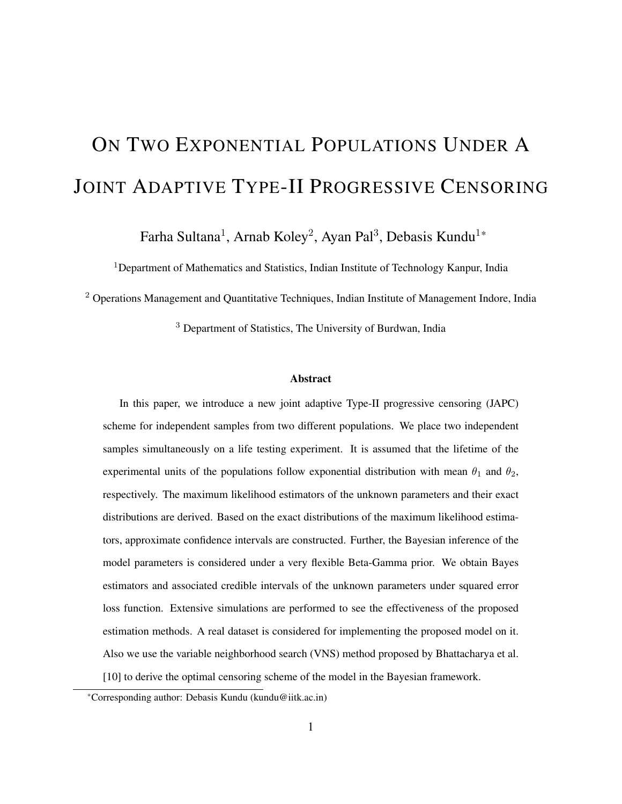# ON TWO EXPONENTIAL POPULATIONS UNDER A JOINT ADAPTIVE TYPE-II PROGRESSIVE CENSORING

Farha Sultana<sup>1</sup>, Arnab Koley<sup>2</sup>, Ayan Pal<sup>3</sup>, Debasis Kundu<sup>1\*</sup>

<sup>1</sup>Department of Mathematics and Statistics, Indian Institute of Technology Kanpur, India

<sup>2</sup> Operations Management and Quantitative Techniques, Indian Institute of Management Indore, India

<sup>3</sup> Department of Statistics, The University of Burdwan, India

#### **Abstract**

In this paper, we introduce a new joint adaptive Type-II progressive censoring (JAPC) scheme for independent samples from two different populations. We place two independent samples simultaneously on a life testing experiment. It is assumed that the lifetime of the experimental units of the populations follow exponential distribution with mean  $\theta_1$  and  $\theta_2$ , respectively. The maximum likelihood estimators of the unknown parameters and their exact distributions are derived. Based on the exact distributions of the maximum likelihood estimators, approximate confidence intervals are constructed. Further, the Bayesian inference of the model parameters is considered under a very flexible Beta-Gamma prior. We obtain Bayes estimators and associated credible intervals of the unknown parameters under squared error loss function. Extensive simulations are performed to see the effectiveness of the proposed estimation methods. A real dataset is considered for implementing the proposed model on it. Also we use the variable neighborhood search (VNS) method proposed by Bhattacharya et al. [10] to derive the optimal censoring scheme of the model in the Bayesian framework.

<sup>\*</sup>Corresponding author: Debasis Kundu (kundu@iitk.ac.in)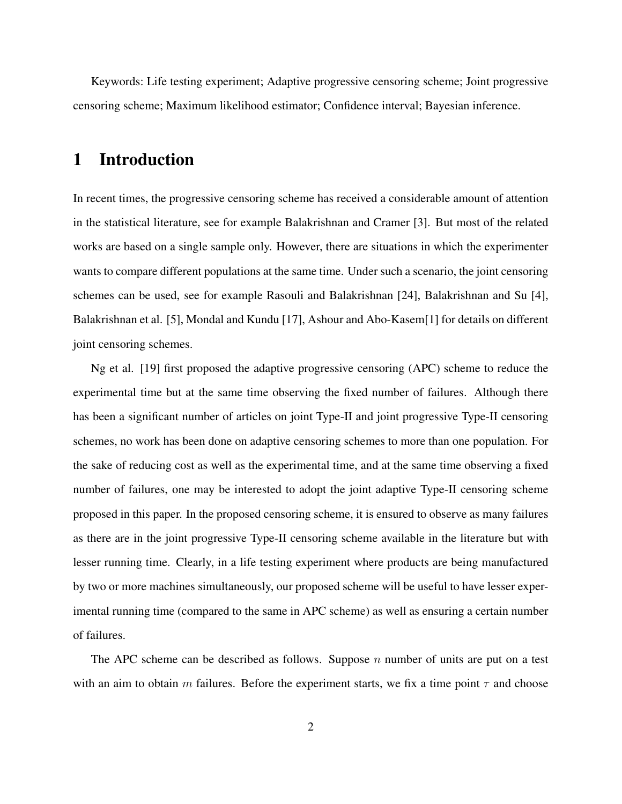Keywords: Life testing experiment; Adaptive progressive censoring scheme; Joint progressive censoring scheme; Maximum likelihood estimator; Confidence interval; Bayesian inference.

# 1 Introduction

In recent times, the progressive censoring scheme has received a considerable amount of attention in the statistical literature, see for example Balakrishnan and Cramer [3]. But most of the related works are based on a single sample only. However, there are situations in which the experimenter wants to compare different populations at the same time. Under such a scenario, the joint censoring schemes can be used, see for example Rasouli and Balakrishnan [24], Balakrishnan and Su [4], Balakrishnan et al. [5], Mondal and Kundu [17], Ashour and Abo-Kasem[1] for details on different joint censoring schemes.

Ng et al. [19] first proposed the adaptive progressive censoring (APC) scheme to reduce the experimental time but at the same time observing the fixed number of failures. Although there has been a significant number of articles on joint Type-II and joint progressive Type-II censoring schemes, no work has been done on adaptive censoring schemes to more than one population. For the sake of reducing cost as well as the experimental time, and at the same time observing a fixed number of failures, one may be interested to adopt the joint adaptive Type-II censoring scheme proposed in this paper. In the proposed censoring scheme, it is ensured to observe as many failures as there are in the joint progressive Type-II censoring scheme available in the literature but with lesser running time. Clearly, in a life testing experiment where products are being manufactured by two or more machines simultaneously, our proposed scheme will be useful to have lesser experimental running time (compared to the same in APC scheme) as well as ensuring a certain number of failures.

The APC scheme can be described as follows. Suppose n number of units are put on a test with an aim to obtain m failures. Before the experiment starts, we fix a time point  $\tau$  and choose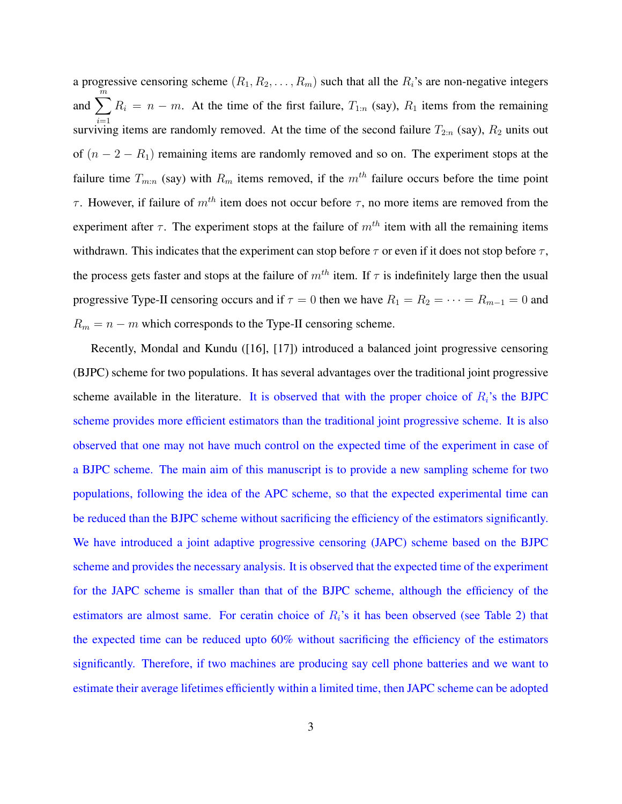a progressive censoring scheme  $(R_1, R_2, \ldots, R_m)$  such that all the  $R_i$ 's are non-negative integers and  $\sum_{n=1}^{m}$  $i=1$  $R_i = n - m$ . At the time of the first failure,  $T_{1:n}$  (say),  $R_1$  items from the remaining surviving items are randomly removed. At the time of the second failure  $T_{2:n}$  (say),  $R_2$  units out of  $(n - 2 - R_1)$  remaining items are randomly removed and so on. The experiment stops at the failure time  $T_{m:n}$  (say) with  $R_m$  items removed, if the  $m^{th}$  failure occurs before the time point τ. However, if failure of  $m<sup>th</sup>$  item does not occur before τ, no more items are removed from the experiment after  $\tau$ . The experiment stops at the failure of  $m^{th}$  item with all the remaining items withdrawn. This indicates that the experiment can stop before  $\tau$  or even if it does not stop before  $\tau$ , the process gets faster and stops at the failure of  $m^{th}$  item. If  $\tau$  is indefinitely large then the usual progressive Type-II censoring occurs and if  $\tau = 0$  then we have  $R_1 = R_2 = \cdots = R_{m-1} = 0$  and  $R_m = n - m$  which corresponds to the Type-II censoring scheme.

Recently, Mondal and Kundu ([16], [17]) introduced a balanced joint progressive censoring (BJPC) scheme for two populations. It has several advantages over the traditional joint progressive scheme available in the literature. It is observed that with the proper choice of  $R_i$ 's the BJPC scheme provides more efficient estimators than the traditional joint progressive scheme. It is also observed that one may not have much control on the expected time of the experiment in case of a BJPC scheme. The main aim of this manuscript is to provide a new sampling scheme for two populations, following the idea of the APC scheme, so that the expected experimental time can be reduced than the BJPC scheme without sacrificing the efficiency of the estimators significantly. We have introduced a joint adaptive progressive censoring (JAPC) scheme based on the BJPC scheme and provides the necessary analysis. It is observed that the expected time of the experiment for the JAPC scheme is smaller than that of the BJPC scheme, although the efficiency of the estimators are almost same. For ceratin choice of  $R_i$ 's it has been observed (see Table 2) that the expected time can be reduced upto 60% without sacrificing the efficiency of the estimators significantly. Therefore, if two machines are producing say cell phone batteries and we want to estimate their average lifetimes efficiently within a limited time, then JAPC scheme can be adopted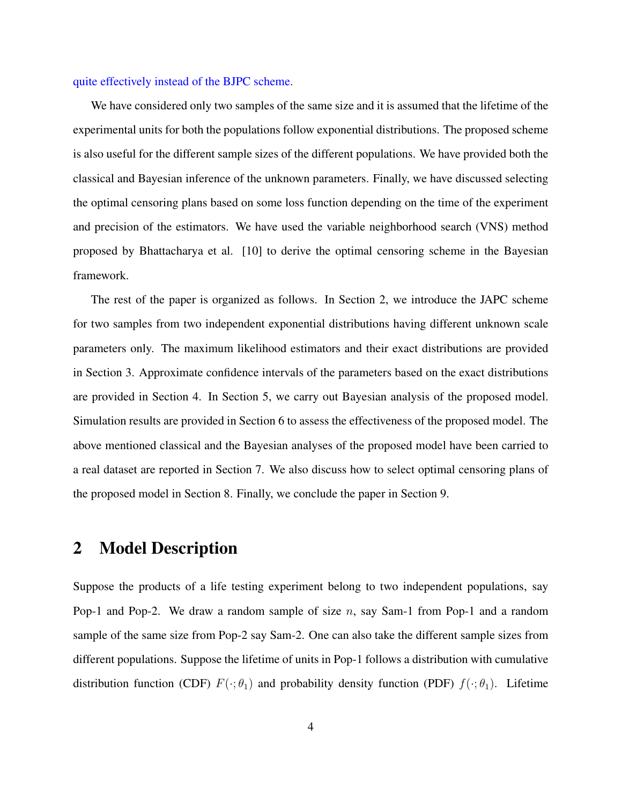#### quite effectively instead of the BJPC scheme.

We have considered only two samples of the same size and it is assumed that the lifetime of the experimental units for both the populations follow exponential distributions. The proposed scheme is also useful for the different sample sizes of the different populations. We have provided both the classical and Bayesian inference of the unknown parameters. Finally, we have discussed selecting the optimal censoring plans based on some loss function depending on the time of the experiment and precision of the estimators. We have used the variable neighborhood search (VNS) method proposed by Bhattacharya et al. [10] to derive the optimal censoring scheme in the Bayesian framework.

The rest of the paper is organized as follows. In Section 2, we introduce the JAPC scheme for two samples from two independent exponential distributions having different unknown scale parameters only. The maximum likelihood estimators and their exact distributions are provided in Section 3. Approximate confidence intervals of the parameters based on the exact distributions are provided in Section 4. In Section 5, we carry out Bayesian analysis of the proposed model. Simulation results are provided in Section 6 to assess the effectiveness of the proposed model. The above mentioned classical and the Bayesian analyses of the proposed model have been carried to a real dataset are reported in Section 7. We also discuss how to select optimal censoring plans of the proposed model in Section 8. Finally, we conclude the paper in Section 9.

## 2 Model Description

Suppose the products of a life testing experiment belong to two independent populations, say Pop-1 and Pop-2. We draw a random sample of size n, say Sam-1 from Pop-1 and a random sample of the same size from Pop-2 say Sam-2. One can also take the different sample sizes from different populations. Suppose the lifetime of units in Pop-1 follows a distribution with cumulative distribution function (CDF)  $F(\cdot; \theta_1)$  and probability density function (PDF)  $f(\cdot; \theta_1)$ . Lifetime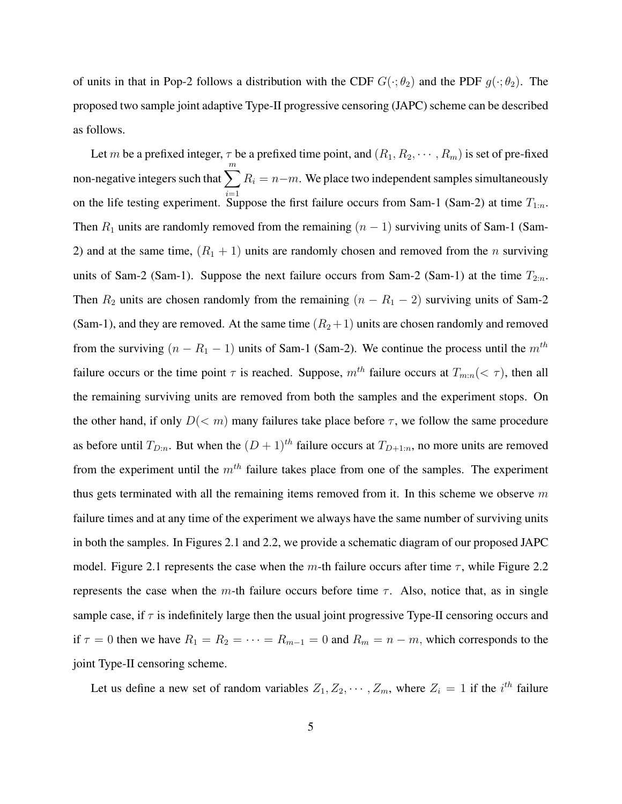of units in that in Pop-2 follows a distribution with the CDF  $G(\cdot;\theta_2)$  and the PDF  $g(\cdot;\theta_2)$ . The proposed two sample joint adaptive Type-II progressive censoring (JAPC) scheme can be described as follows.

Let m be a prefixed integer,  $\tau$  be a prefixed time point, and  $(R_1, R_2, \dots, R_m)$  is set of pre-fixed non-negative integers such that  $\sum_{i=1}^{m} R_i = n-m$ . We place two independent samples simultaneously on the life testing experiment. Suppose the first failure occurs from Sam-1 (Sam-2) at time  $T_{1:n}$ . Then  $R_1$  units are randomly removed from the remaining  $(n - 1)$  surviving units of Sam-1 (Sam-2) and at the same time,  $(R_1 + 1)$  units are randomly chosen and removed from the n surviving units of Sam-2 (Sam-1). Suppose the next failure occurs from Sam-2 (Sam-1) at the time  $T_{2:n}$ . Then  $R_2$  units are chosen randomly from the remaining  $(n - R_1 - 2)$  surviving units of Sam-2 (Sam-1), and they are removed. At the same time  $(R_2 + 1)$  units are chosen randomly and removed from the surviving  $(n - R_1 - 1)$  units of Sam-1 (Sam-2). We continue the process until the  $m<sup>th</sup>$ failure occurs or the time point  $\tau$  is reached. Suppose,  $m^{th}$  failure occurs at  $T_{m:n}(< \tau)$ , then all the remaining surviving units are removed from both the samples and the experiment stops. On the other hand, if only  $D(\leq m)$  many failures take place before  $\tau$ , we follow the same procedure as before until  $T_{D:n}$ . But when the  $(D + 1)^{th}$  failure occurs at  $T_{D+1:n}$ , no more units are removed from the experiment until the  $m<sup>th</sup>$  failure takes place from one of the samples. The experiment thus gets terminated with all the remaining items removed from it. In this scheme we observe  $m$ failure times and at any time of the experiment we always have the same number of surviving units in both the samples. In Figures 2.1 and 2.2, we provide a schematic diagram of our proposed JAPC model. Figure 2.1 represents the case when the m-th failure occurs after time  $\tau$ , while Figure 2.2 represents the case when the m-th failure occurs before time  $\tau$ . Also, notice that, as in single sample case, if  $\tau$  is indefinitely large then the usual joint progressive Type-II censoring occurs and if  $\tau = 0$  then we have  $R_1 = R_2 = \cdots = R_{m-1} = 0$  and  $R_m = n - m$ , which corresponds to the joint Type-II censoring scheme.

Let us define a new set of random variables  $Z_1, Z_2, \cdots, Z_m$ , where  $Z_i = 1$  if the  $i^{th}$  failure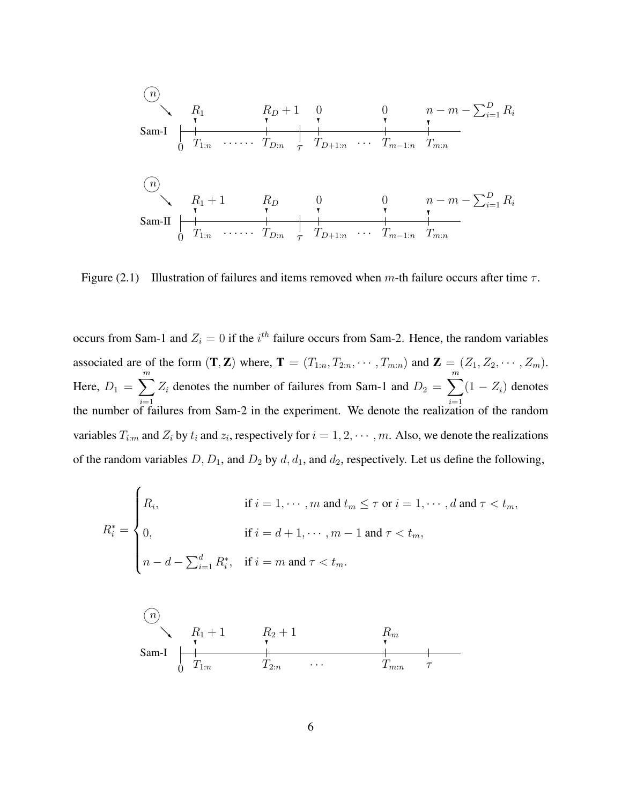Sam-I n♥ 0 τ ❅❘ T1:<sup>n</sup> ❄ R<sup>1</sup> · · · · · · TD:<sup>n</sup> ❄ R<sup>D</sup> + 1 TD+1:<sup>n</sup> ❄ 0 · · · Tm−1:<sup>n</sup> ❄ 0 Tm:<sup>n</sup> ❄ n − m − P<sup>D</sup> <sup>i</sup>=1 R<sup>i</sup> Sam-II n♥ 0 τ ❅❘ T1:<sup>n</sup> ❄ R<sup>1</sup> + 1 · · · · · · TD:<sup>n</sup> ❄ R<sup>D</sup> TD+1:<sup>n</sup> ❄ 0 · · · Tm−1:<sup>n</sup> ❄ 0 Tm:<sup>n</sup> ❄ n − m − P<sup>D</sup> <sup>i</sup>=1 R<sup>i</sup>

Figure (2.1) Illustration of failures and items removed when m-th failure occurs after time  $\tau$ .

occurs from Sam-1 and  $Z_i = 0$  if the  $i^{th}$  failure occurs from Sam-2. Hence, the random variables associated are of the form  $(\mathbf{T}, \mathbf{Z})$  where,  $\mathbf{T} = (T_{1:n}, T_{2:n}, \cdots, T_{m:n})$  and  $\mathbf{Z} = (Z_1, Z_2, \cdots, Z_m)$ . Here,  $D_1 = \sum_{n=1}^{m}$  $i=1$  $Z_i$  denotes the number of failures from Sam-1 and  $D_2 = \sum_{i=1}^{m}$  $i=1$  $(1 - Z_i)$  denotes the number of failures from Sam-2 in the experiment. We denote the realization of the random variables  $T_{i:m}$  and  $Z_i$  by  $t_i$  and  $z_i$ , respectively for  $i = 1, 2, \dots, m$ . Also, we denote the realizations of the random variables  $D, D_1$ , and  $D_2$  by  $d, d_1$ , and  $d_2$ , respectively. Let us define the following,

$$
R_i^* = \begin{cases} R_i, & \text{if } i = 1, \dots, m \text{ and } t_m \leq \tau \text{ or } i = 1, \dots, d \text{ and } \tau < t_m, \\ 0, & \text{if } i = d + 1, \dots, m - 1 \text{ and } \tau < t_m, \\ n - d - \sum_{i=1}^d R_i^*, & \text{if } i = m \text{ and } \tau < t_m. \end{cases}
$$

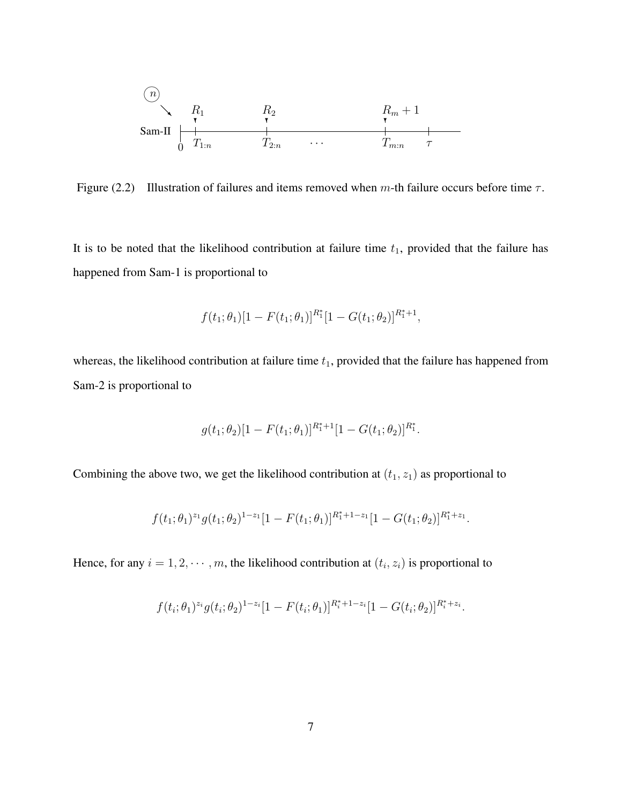

Figure (2.2) Illustration of failures and items removed when m-th failure occurs before time  $\tau$ .

It is to be noted that the likelihood contribution at failure time  $t_1$ , provided that the failure has happened from Sam-1 is proportional to

$$
f(t_1; \theta_1)[1 - F(t_1; \theta_1)]^{R_1^*}[1 - G(t_1; \theta_2)]^{R_1^*+1},
$$

whereas, the likelihood contribution at failure time  $t_1$ , provided that the failure has happened from Sam-2 is proportional to

$$
g(t_1; \theta_2)[1 - F(t_1; \theta_1)]^{R_1^* + 1}[1 - G(t_1; \theta_2)]^{R_1^*}.
$$

Combining the above two, we get the likelihood contribution at  $(t_1, z_1)$  as proportional to

$$
f(t_1; \theta_1)^{z_1} g(t_1; \theta_2)^{1-z_1} [1 - F(t_1; \theta_1)]^{R_1^* + 1 - z_1} [1 - G(t_1; \theta_2)]^{R_1^* + z_1}
$$

.

Hence, for any  $i = 1, 2, \dots, m$ , the likelihood contribution at  $(t_i, z_i)$  is proportional to

$$
f(t_i; \theta_1)^{z_i} g(t_i; \theta_2)^{1-z_i} [1 - F(t_i; \theta_1)]^{R_i^* + 1 - z_i} [1 - G(t_i; \theta_2)]^{R_i^* + z_i}.
$$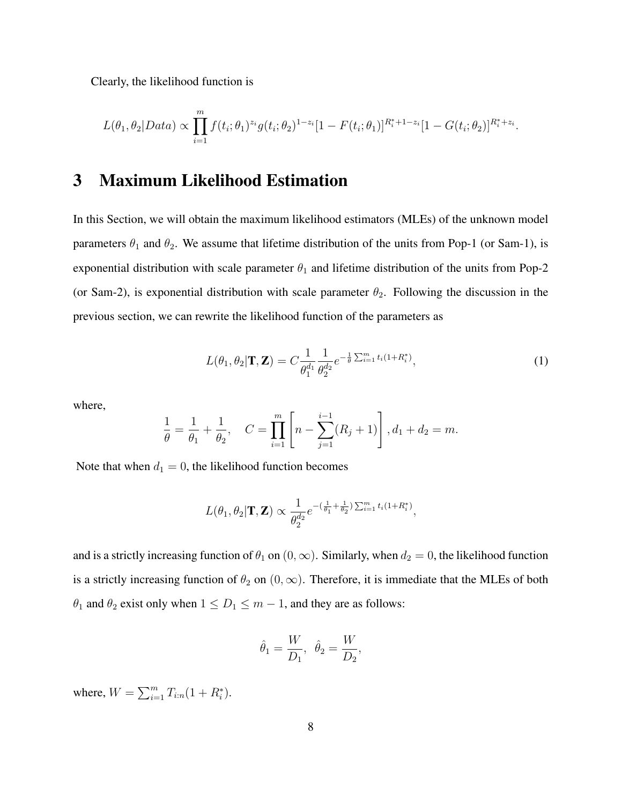Clearly, the likelihood function is

$$
L(\theta_1, \theta_2 | Data) \propto \prod_{i=1}^m f(t_i; \theta_1)^{z_i} g(t_i; \theta_2)^{1-z_i} [1 - F(t_i; \theta_1)]^{R_i^* + 1 - z_i} [1 - G(t_i; \theta_2)]^{R_i^* + z_i}
$$

# 3 Maximum Likelihood Estimation

In this Section, we will obtain the maximum likelihood estimators (MLEs) of the unknown model parameters  $\theta_1$  and  $\theta_2$ . We assume that lifetime distribution of the units from Pop-1 (or Sam-1), is exponential distribution with scale parameter  $\theta_1$  and lifetime distribution of the units from Pop-2 (or Sam-2), is exponential distribution with scale parameter  $\theta_2$ . Following the discussion in the previous section, we can rewrite the likelihood function of the parameters as

$$
L(\theta_1, \theta_2 | \mathbf{T}, \mathbf{Z}) = C \frac{1}{\theta_1^{d_1}} \frac{1}{\theta_2^{d_2}} e^{-\frac{1}{\theta} \sum_{i=1}^m t_i (1 + R_i^*)}, \tag{1}
$$

.

where,

$$
\frac{1}{\theta} = \frac{1}{\theta_1} + \frac{1}{\theta_2}, \quad C = \prod_{i=1}^{m} \left[ n - \sum_{j=1}^{i-1} (R_j + 1) \right], d_1 + d_2 = m.
$$

Note that when  $d_1 = 0$ , the likelihood function becomes

$$
L(\theta_1, \theta_2 | \mathbf{T}, \mathbf{Z}) \propto \frac{1}{\theta_2^{d_2}} e^{-(\frac{1}{\theta_1} + \frac{1}{\theta_2})\sum_{i=1}^m t_i (1 + R_i^*)},
$$

and is a strictly increasing function of  $\theta_1$  on  $(0, \infty)$ . Similarly, when  $d_2 = 0$ , the likelihood function is a strictly increasing function of  $\theta_2$  on  $(0, \infty)$ . Therefore, it is immediate that the MLEs of both  $\theta_1$  and  $\theta_2$  exist only when  $1 \leq D_1 \leq m-1$ , and they are as follows:

$$
\hat{\theta}_1 = \frac{W}{D_1}, \ \hat{\theta}_2 = \frac{W}{D_2},
$$

where,  $W = \sum_{i=1}^{m} T_{i:n} (1 + R_i^*).$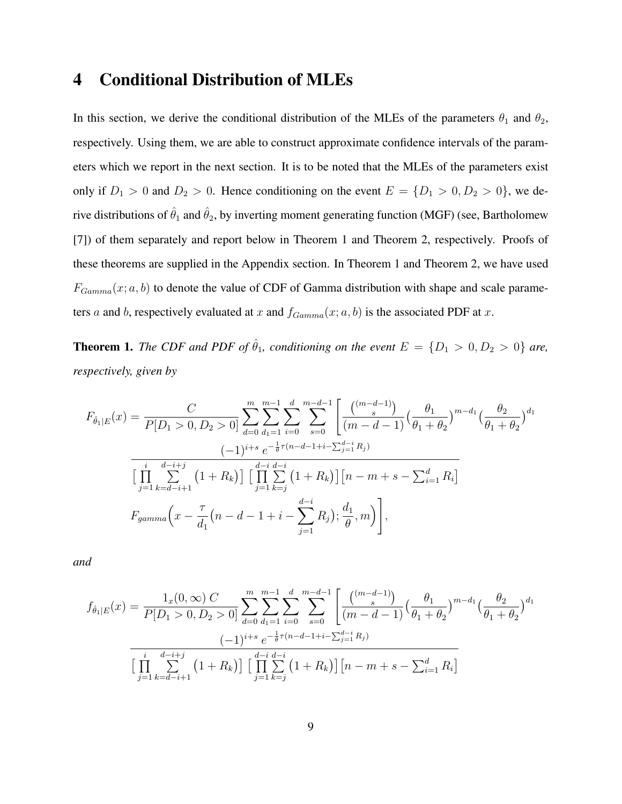# 4 Conditional Distribution of MLEs

In this section, we derive the conditional distribution of the MLEs of the parameters  $\theta_1$  and  $\theta_2$ , respectively. Using them, we are able to construct approximate confidence intervals of the parameters which we report in the next section. It is to be noted that the MLEs of the parameters exist only if  $D_1 > 0$  and  $D_2 > 0$ . Hence conditioning on the event  $E = \{D_1 > 0, D_2 > 0\}$ , we derive distributions of  $\hat{\theta}_1$  and  $\hat{\theta}_2$ , by inverting moment generating function (MGF) (see, Bartholomew [7]) of them separately and report below in Theorem 1 and Theorem 2, respectively. Proofs of these theorems are supplied in the Appendix section. In Theorem 1 and Theorem 2, we have used  $F_{Gamma}(x; a, b)$  to denote the value of CDF of Gamma distribution with shape and scale parameters a and b, respectively evaluated at x and  $f_{Gamma}(x; a, b)$  is the associated PDF at x.

**Theorem 1.** *The CDF and PDF of*  $\hat{\theta}_1$ *, conditioning on the event*  $E = \{D_1 > 0, D_2 > 0\}$  *are, respectively, given by*

$$
F_{\hat{\theta}_1|E}(x) = \frac{C}{P[D_1 > 0, D_2 > 0]} \sum_{d=0}^{m} \sum_{d_1=1}^{m-1} \sum_{i=0}^{d} \sum_{s=0}^{m-d-1} \left[ \frac{\binom{(m-d-1)}{s}}{(m-d-1)} \left( \frac{\theta_1}{\theta_1 + \theta_2} \right)^{m-d_1} \left( \frac{\theta_2}{\theta_1 + \theta_2} \right)^{d_1} \right]
$$

$$
= \frac{(-1)^{i+s} e^{-\frac{1}{\theta}\tau(n-d-1+i-\sum_{j=1}^{d-i} R_j)}}{\left[ \prod_{j=1}^{i} \sum_{k=d-i+1}^{d-i+1} \left( 1 + R_k \right) \right] \left[ \prod_{j=1}^{d-i} \sum_{k=j}^{d-i} \left( 1 + R_k \right) \right] \left[ n - m + s - \sum_{i=1}^{d} R_i \right]}
$$

$$
F_{gamma}(x) = \frac{\tau}{d_1} (n - d - 1 + i - \sum_{j=1}^{d-i} R_j); \frac{d_1}{\theta}, m \right)},
$$

*and*

$$
f_{\hat{\theta}_1|E}(x) = \frac{1_x(0, \infty) C}{P[D_1 > 0, D_2 > 0]} \sum_{d=0}^m \sum_{d_1=1}^{m-1} \sum_{i=0}^d \sum_{s=0}^{m-d-1} \left[ \frac{\binom{(m-d-1)}{s}}{(m-d-1)} \left( \frac{\theta_1}{\theta_1 + \theta_2} \right)^{m-d_1} \left( \frac{\theta_2}{\theta_1 + \theta_2} \right)^{d_1} \right]
$$

$$
(-1)^{i+s} e^{-\frac{1}{\theta}\tau(n-d-1+i-\sum_{j=1}^{d-i} R_j)}
$$

$$
\left[ \prod_{j=1}^i \sum_{k=d-i+1}^{d-i+j} \left( 1 + R_k \right) \right] \left[ \prod_{j=1}^d \sum_{k=j}^{d-i} \left( 1 + R_k \right) \right] \left[ n - m + s - \sum_{i=1}^d R_i \right]
$$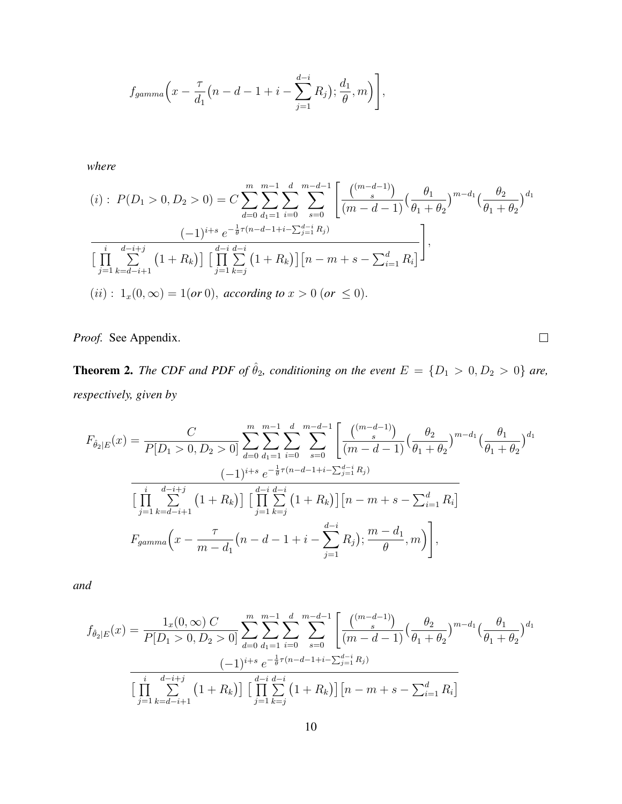$$
f_{gamma}(x-\frac{\tau}{d_1}(n-d-1+i-\sum_{j=1}^{d-i}R_j);\frac{d_1}{\theta},m)\Bigg],
$$

*where*

$$
(i): P(D_1 > 0, D_2 > 0) = C \sum_{d=0}^{m} \sum_{d_1=1}^{m-1} \sum_{i=0}^{d} \sum_{s=0}^{m-d-1} \left[ \frac{\binom{(m-d-1)}{s}}{\left(m-d-1\right)} \left(\frac{\theta_1}{\theta_1 + \theta_2}\right)^{m-d_1} \left(\frac{\theta_2}{\theta_1 + \theta_2}\right)^{d_1} \right]
$$

$$
\frac{(-1)^{i+s} e^{-\frac{1}{\theta}\tau(n-d-1+i-\sum_{j=1}^{d-i} R_j)}}{\left[\prod_{j=1}^{i} \sum_{k=d-i+1}^{d-i+j} \left(1 + R_k\right)\right] \left[\prod_{j=1}^{d-i} \sum_{k=j}^{d-i} \left(1 + R_k\right)\right] \left[n-m+s-\sum_{i=1}^{d} R_i\right]},
$$

$$
(ii): 1_x(0,\infty) = 1(\text{or } 0), \text{ according to } x > 0 \text{ (or } \le 0).
$$

*Proof.* See Appendix.

**Theorem 2.** *The CDF and PDF of*  $\hat{\theta}_2$ *, conditioning on the event*  $E = \{D_1 > 0, D_2 > 0\}$  *are, respectively, given by*

 $\Box$ 

$$
F_{\hat{\theta}_2|E}(x) = \frac{C}{P[D_1 > 0, D_2 > 0]} \sum_{d=0}^{m} \sum_{d_1=1}^{m-1} \sum_{i=0}^{d} \sum_{s=0}^{m-d-1} \left[ \frac{\binom{(m-d-1)}{s}}{(m-d-1)} \left( \frac{\theta_2}{\theta_1 + \theta_2} \right)^{m-d_1} \left( \frac{\theta_1}{\theta_1 + \theta_2} \right)^{d_1} \right]
$$

$$
-1)^{i+s} e^{-\frac{1}{\theta}\tau(n-d-1+i-\sum_{j=1}^{d-i} R_j)}
$$

$$
\prod_{j=1}^{i} \sum_{k=d-i+1}^{d-i+j} \left( 1 + R_k \right) \left[ \prod_{j=1}^{d-i} \sum_{k=j}^{d-i} \left( 1 + R_k \right) \right] \left[ n - m + s - \sum_{i=1}^{d} R_i \right]
$$

$$
F_{gamma}(x - \frac{\tau}{m-d_1} \left( n - d - 1 + i - \sum_{j=1}^{d-i} R_j \right); \frac{m-d_1}{\theta}, m \right),
$$

*and*

$$
f_{\hat{\theta}_2|E}(x) = \frac{1_x(0, \infty) C}{P[D_1 > 0, D_2 > 0]} \sum_{d=0}^m \sum_{d_1=1}^{m-1} \sum_{i=0}^d \sum_{s=0}^{m-d-1} \left[ \frac{\binom{(m-d-1)}{s}}{(m-d-1)} \left( \frac{\theta_2}{\theta_1 + \theta_2} \right)^{m-d_1} \left( \frac{\theta_1}{\theta_1 + \theta_2} \right)^{d_1} \right]
$$

$$
(-1)^{i+s} e^{-\frac{1}{\theta}\tau(n-d-1+i-\sum_{j=1}^{d-i} R_j)}
$$

$$
\left[ \prod_{j=1}^i \sum_{k=d-i+1}^{d-i+j} \left( 1 + R_k \right) \right] \left[ \prod_{j=1}^{d-i} \sum_{k=j}^{d-i} \left( 1 + R_k \right) \right] \left[ n - m + s - \sum_{i=1}^d R_i \right]
$$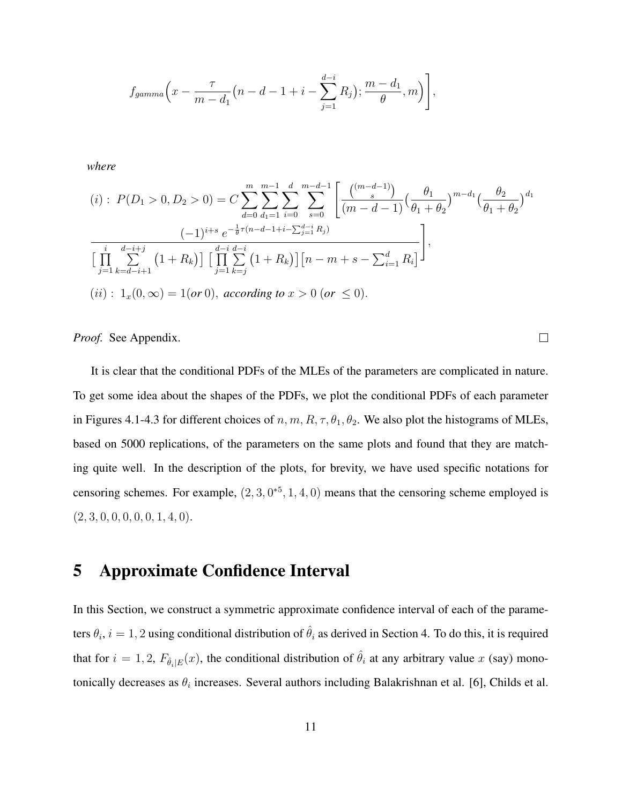$$
f_{gamma}(x - \frac{\tau}{m - d_1}(n - d - 1 + i - \sum_{j=1}^{d-i} R_j); \frac{m - d_1}{\theta}, m)
$$

*where*

$$
(i): P(D_1 > 0, D_2 > 0) = C \sum_{d=0}^{m} \sum_{d_1=1}^{m-1} \sum_{i=0}^{d} \sum_{s=0}^{m-d-1} \left[ \frac{\binom{(m-d-1)}{s}}{(m-d-1)} \left( \frac{\theta_1}{\theta_1 + \theta_2} \right)^{m-d_1} \left( \frac{\theta_2}{\theta_1 + \theta_2} \right)^{d_1} \right]
$$

$$
\frac{(-1)^{i+s} e^{-\frac{1}{\theta}\tau(n-d-1+i-\sum_{j=1}^{d-i} R_j)}}{\left[ \prod_{j=1}^{i} \sum_{k=d-i+1}^{d-i+j} \left( 1 + R_k \right) \right] \left[ \prod_{j=1}^{d-i} \sum_{k=j}^{d-i} \left( 1 + R_k \right) \right] \left[ n - m + s - \sum_{i=1}^{d} R_i \right]},
$$

$$
(ii): 1_x(0,\infty) = 1 (or 0), according to x > 0 (or \le 0).
$$

 $\Box$ 

*Proof.* See Appendix.

It is clear that the conditional PDFs of the MLEs of the parameters are complicated in nature. To get some idea about the shapes of the PDFs, we plot the conditional PDFs of each parameter in Figures 4.1-4.3 for different choices of  $n, m, R, \tau, \theta_1, \theta_2$ . We also plot the histograms of MLEs, based on 5000 replications, of the parameters on the same plots and found that they are matching quite well. In the description of the plots, for brevity, we have used specific notations for censoring schemes. For example,  $(2,3,0^{*5},1,4,0)$  means that the censoring scheme employed is  $(2, 3, 0, 0, 0, 0, 0, 1, 4, 0).$ 

# 5 Approximate Confidence Interval

In this Section, we construct a symmetric approximate confidence interval of each of the parameters  $\theta_i$ ,  $i=1,2$  using conditional distribution of  $\hat{\theta}_i$  as derived in Section 4. To do this, it is required that for  $i = 1, 2, F_{\hat{\theta}_i|E}(x)$ , the conditional distribution of  $\hat{\theta}_i$  at any arbitrary value x (say) monotonically decreases as  $\theta_i$  increases. Several authors including Balakrishnan et al. [6], Childs et al.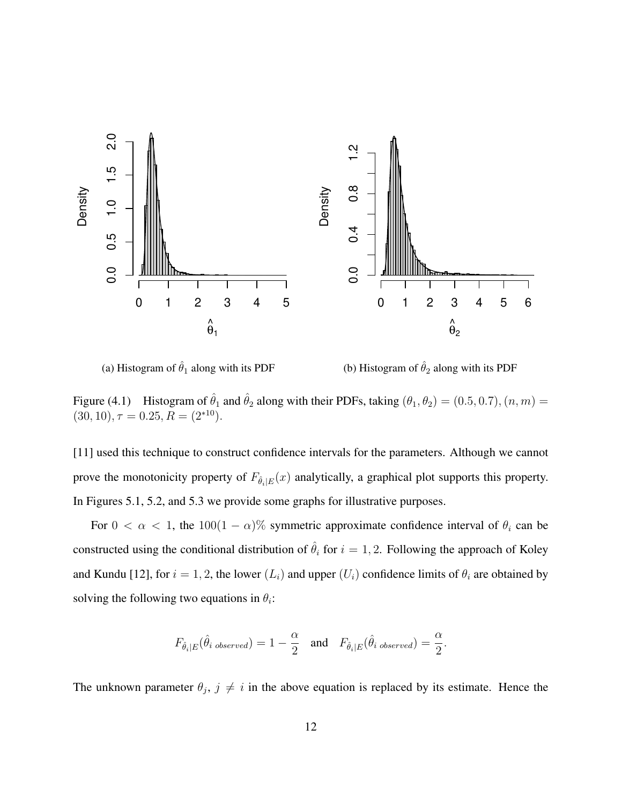

(a) Histogram of  $\hat{\theta}_1$  along with its PDF

(b) Histogram of  $\hat{\theta}_2$  along with its PDF

Figure (4.1) Histogram of  $\hat{\theta}_1$  and  $\hat{\theta}_2$  along with their PDFs, taking  $(\theta_1, \theta_2) = (0.5, 0.7), (n, m) =$  $(30, 10), \tau = 0.25, R = (2^{*10}).$ 

[11] used this technique to construct confidence intervals for the parameters. Although we cannot prove the monotonicity property of  $F_{\hat{\theta}_i|E}(x)$  analytically, a graphical plot supports this property. In Figures 5.1, 5.2, and 5.3 we provide some graphs for illustrative purposes.

For  $0 < \alpha < 1$ , the  $100(1 - \alpha)$ % symmetric approximate confidence interval of  $\theta_i$  can be constructed using the conditional distribution of  $\hat{\theta}_i$  for  $i = 1, 2$ . Following the approach of Koley and Kundu [12], for  $i = 1, 2$ , the lower  $(L_i)$  and upper  $(U_i)$  confidence limits of  $\theta_i$  are obtained by solving the following two equations in  $\theta_i$ :

$$
F_{\hat{\theta}_i|E}(\hat{\theta}_{i\;observed}) = 1 - \frac{\alpha}{2} \quad \text{and} \quad F_{\hat{\theta}_i|E}(\hat{\theta}_{i\;observed}) = \frac{\alpha}{2}.
$$

The unknown parameter  $\theta_j$ ,  $j \neq i$  in the above equation is replaced by its estimate. Hence the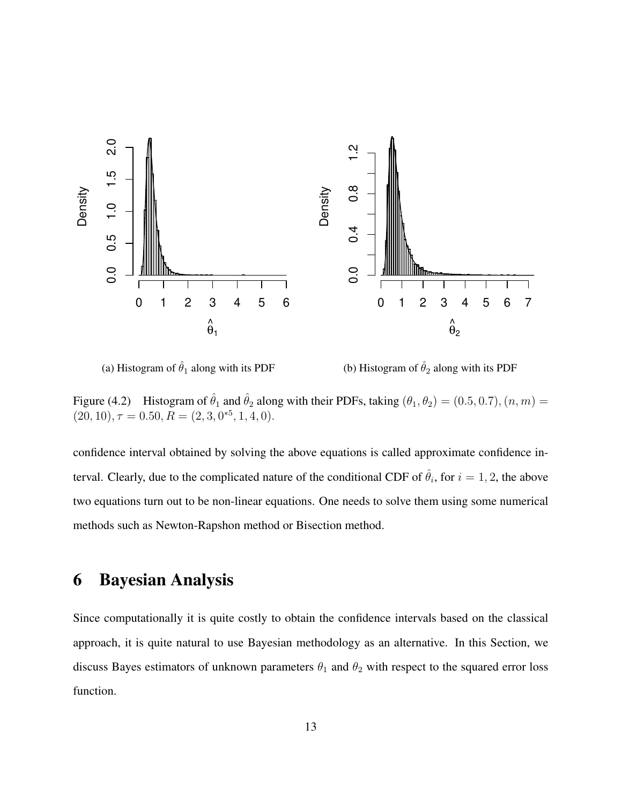

(a) Histogram of  $\hat{\theta}_1$  along with its PDF

(b) Histogram of  $\hat{\theta}_2$  along with its PDF

Figure (4.2) Histogram of  $\hat{\theta}_1$  and  $\hat{\theta}_2$  along with their PDFs, taking  $(\theta_1, \theta_2) = (0.5, 0.7), (n, m) =$  $(20, 10), \tau = 0.50, R = (2, 3, 0^{*5}, 1, 4, 0).$ 

confidence interval obtained by solving the above equations is called approximate confidence interval. Clearly, due to the complicated nature of the conditional CDF of  $\hat{\theta}_i$ , for  $i = 1, 2$ , the above two equations turn out to be non-linear equations. One needs to solve them using some numerical methods such as Newton-Rapshon method or Bisection method.

## 6 Bayesian Analysis

Since computationally it is quite costly to obtain the confidence intervals based on the classical approach, it is quite natural to use Bayesian methodology as an alternative. In this Section, we discuss Bayes estimators of unknown parameters  $\theta_1$  and  $\theta_2$  with respect to the squared error loss function.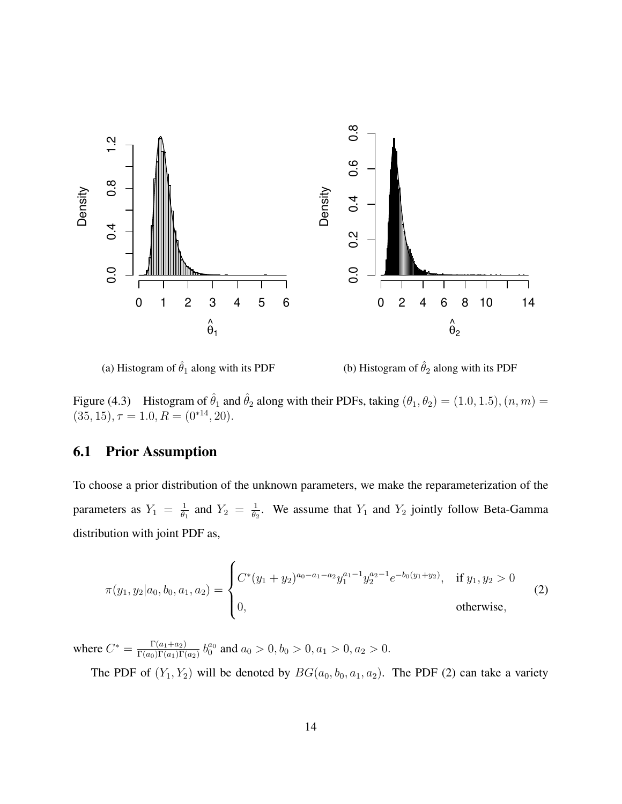

(a) Histogram of  $\hat{\theta}_1$  along with its PDF

(b) Histogram of  $\hat{\theta}_2$  along with its PDF

Figure (4.3) Histogram of  $\hat{\theta}_1$  and  $\hat{\theta}_2$  along with their PDFs, taking  $(\theta_1, \theta_2) = (1.0, 1.5), (n, m) =$  $(35, 15), \tau = 1.0, R = (0^{*14}, 20).$ 

## 6.1 Prior Assumption

To choose a prior distribution of the unknown parameters, we make the reparameterization of the parameters as  $Y_1 = \frac{1}{\theta_1}$  $\frac{1}{\theta_1}$  and  $Y_2 = \frac{1}{\theta_2}$  $\frac{1}{\theta_2}$ . We assume that  $Y_1$  and  $Y_2$  jointly follow Beta-Gamma distribution with joint PDF as,

$$
\pi(y_1, y_2|a_0, b_0, a_1, a_2) = \begin{cases} C^*(y_1 + y_2)^{a_0 - a_1 - a_2} y_1^{a_1 - 1} y_2^{a_2 - 1} e^{-b_0(y_1 + y_2)}, & \text{if } y_1, y_2 > 0 \\ 0, & \text{otherwise,} \end{cases}
$$
(2)

where  $C^* = \frac{\Gamma(a_1 + a_2)}{\Gamma(a_2)\Gamma(a_1)\Gamma(b_2)}$  $\frac{\Gamma(a_1+a_2)}{\Gamma(a_0)\Gamma(a_1)\Gamma(a_2)}$   $b_0^{a_0}$  and  $a_0 > 0, b_0 > 0, a_1 > 0, a_2 > 0$ .

The PDF of  $(Y_1, Y_2)$  will be denoted by  $BG(a_0, b_0, a_1, a_2)$ . The PDF (2) can take a variety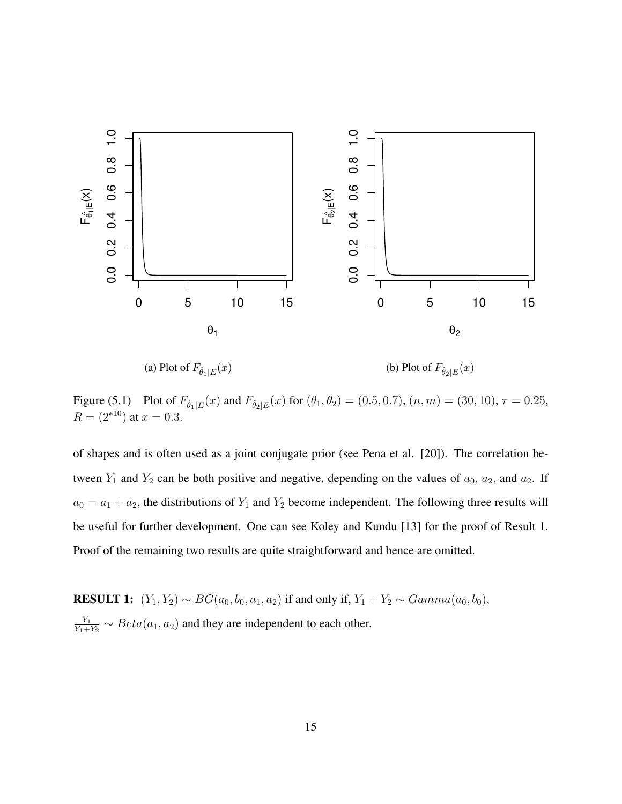

(a) Plot of  $F_{\hat{\theta}_1|E}(x)$ (b) Plot of  $F_{\hat{\theta}_2|E}(x)$ 

Figure (5.1) Plot of  $F_{\hat{\theta}_1|E}(x)$  and  $F_{\hat{\theta}_2|E}(x)$  for  $(\theta_1, \theta_2) = (0.5, 0.7), (n, m) = (30, 10), \tau = 0.25$ ,  $R = (2^{*10})$  at  $x = 0.3$ .

of shapes and is often used as a joint conjugate prior (see Pena et al. [20]). The correlation between  $Y_1$  and  $Y_2$  can be both positive and negative, depending on the values of  $a_0$ ,  $a_2$ , and  $a_2$ . If  $a_0 = a_1 + a_2$ , the distributions of  $Y_1$  and  $Y_2$  become independent. The following three results will be useful for further development. One can see Koley and Kundu [13] for the proof of Result 1. Proof of the remaining two results are quite straightforward and hence are omitted.

RESULT 1:  $(Y_1, Y_2) \sim BG(a_0, b_0, a_1, a_2)$  if and only if,  $Y_1 + Y_2 \sim Gamma(a_0, b_0)$ ,  $Y_1$  $\frac{Y_1}{Y_1+Y_2} \sim Beta(a_1, a_2)$  and they are independent to each other.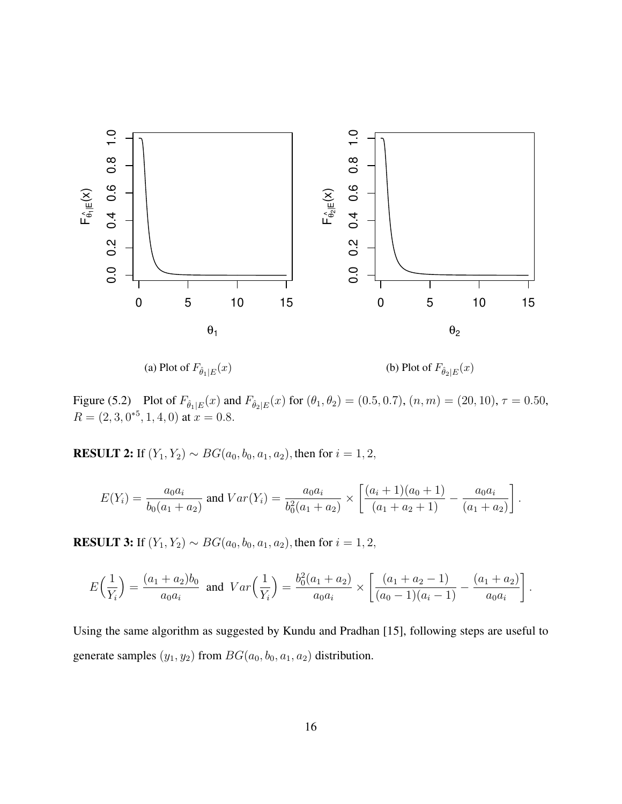

(a) Plot of  $F_{\hat{\theta}_1|E}(x)$ 

(b) Plot of  $F_{\hat{\theta}_2|E}(x)$ 

Figure (5.2) Plot of  $F_{\hat{\theta}_1|E}(x)$  and  $F_{\hat{\theta}_2|E}(x)$  for  $(\theta_1, \theta_2) = (0.5, 0.7), (n, m) = (20, 10), \tau = 0.50,$  $R = (2, 3, 0^{*5}, 1, 4, 0)$  at  $x = 0.8$ .

RESULT 2: If  $(Y_1, Y_2) \sim BG(a_0, b_0, a_1, a_2)$ , then for  $i = 1, 2$ ,

$$
E(Y_i) = \frac{a_0 a_i}{b_0 (a_1 + a_2)} \text{ and } Var(Y_i) = \frac{a_0 a_i}{b_0^2 (a_1 + a_2)} \times \left[ \frac{(a_i + 1)(a_0 + 1)}{(a_1 + a_2 + 1)} - \frac{a_0 a_i}{(a_1 + a_2)} \right].
$$

**RESULT 3:** If  $(Y_1, Y_2) \sim BG(a_0, b_0, a_1, a_2)$ , then for  $i = 1, 2$ ,

$$
E\left(\frac{1}{Y_i}\right) = \frac{(a_1 + a_2)b_0}{a_0a_i} \text{ and } Var\left(\frac{1}{Y_i}\right) = \frac{b_0^2(a_1 + a_2)}{a_0a_i} \times \left[\frac{(a_1 + a_2 - 1)}{(a_0 - 1)(a_i - 1)} - \frac{(a_1 + a_2)}{a_0a_i}\right].
$$

Using the same algorithm as suggested by Kundu and Pradhan [15], following steps are useful to generate samples  $(y_1, y_2)$  from  $BG(a_0, b_0, a_1, a_2)$  distribution.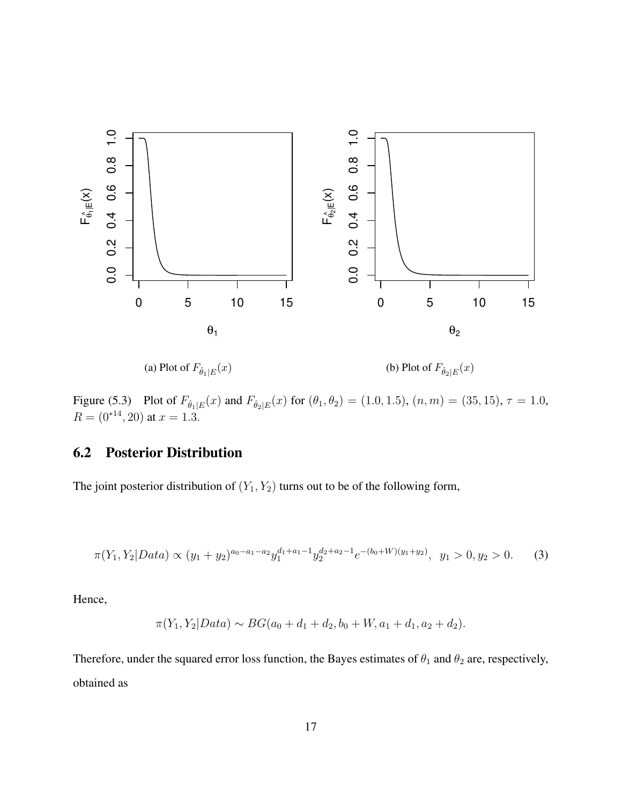

(a) Plot of  $F_{\hat{\theta}_1|E}(x)$ (b) Plot of  $F_{\hat{\theta}_2|E}(x)$ 

Figure (5.3) Plot of  $F_{\hat{\theta}_1|E}(x)$  and  $F_{\hat{\theta}_2|E}(x)$  for  $(\theta_1, \theta_2) = (1.0, 1.5), (n, m) = (35, 15), \tau = 1.0,$  $R = (0^{*14}, 20)$  at  $x = 1.3$ .

## 6.2 Posterior Distribution

The joint posterior distribution of  $(Y_1, Y_2)$  turns out to be of the following form,

$$
\pi(Y_1, Y_2|Data) \propto (y_1 + y_2)^{a_0 - a_1 - a_2} y_1^{d_1 + a_1 - 1} y_2^{d_2 + a_2 - 1} e^{-(b_0 + W)(y_1 + y_2)}, \ y_1 > 0, y_2 > 0.
$$
 (3)

Hence,

$$
\pi(Y_1, Y_2| Data) \sim BG(a_0 + d_1 + d_2, b_0 + W, a_1 + d_1, a_2 + d_2).
$$

Therefore, under the squared error loss function, the Bayes estimates of  $\theta_1$  and  $\theta_2$  are, respectively, obtained as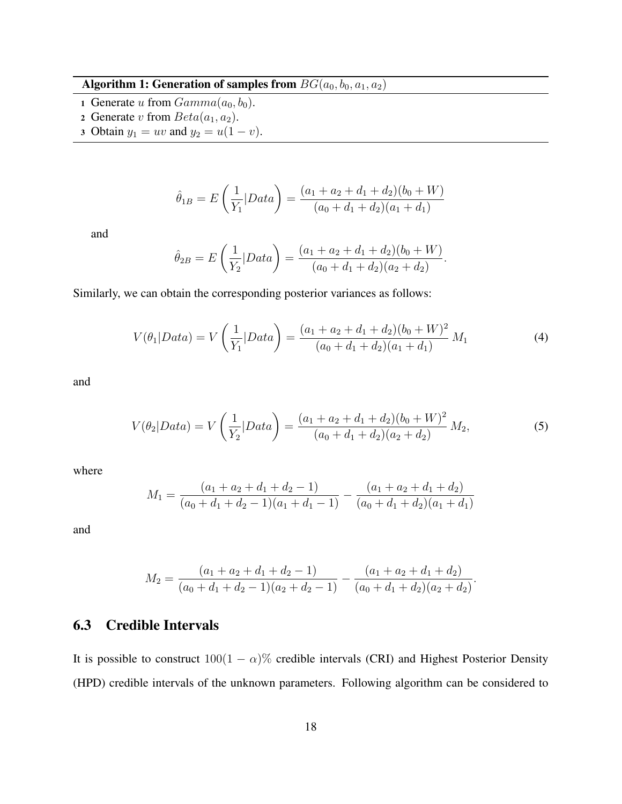## Algorithm 1: Generation of samples from  $BG(a_0, b_0, a_1, a_2)$

- 1 Generate u from  $Gamma(a_0, b_0)$ .
- 2 Generate v from  $Beta(a_1, a_2)$ .
- 3 Obtain  $y_1 = uv$  and  $y_2 = u(1 v)$ .

$$
\hat{\theta}_{1B} = E\left(\frac{1}{Y_1}|Data\right) = \frac{(a_1 + a_2 + d_1 + d_2)(b_0 + W)}{(a_0 + d_1 + d_2)(a_1 + d_1)}
$$

and

$$
\hat{\theta}_{2B} = E\left(\frac{1}{Y_2}|Data\right) = \frac{(a_1 + a_2 + d_1 + d_2)(b_0 + W)}{(a_0 + d_1 + d_2)(a_2 + d_2)}.
$$

Similarly, we can obtain the corresponding posterior variances as follows:

$$
V(\theta_1|Data) = V\left(\frac{1}{Y_1}|Data\right) = \frac{(a_1 + a_2 + d_1 + d_2)(b_0 + W)^2}{(a_0 + d_1 + d_2)(a_1 + d_1)}M_1\tag{4}
$$

and

$$
V(\theta_2|Data) = V\left(\frac{1}{Y_2}|Data\right) = \frac{(a_1 + a_2 + d_1 + d_2)(b_0 + W)^2}{(a_0 + d_1 + d_2)(a_2 + d_2)}M_2,
$$
\n(5)

where

$$
M_1 = \frac{(a_1 + a_2 + d_1 + d_2 - 1)}{(a_0 + d_1 + d_2 - 1)(a_1 + d_1 - 1)} - \frac{(a_1 + a_2 + d_1 + d_2)}{(a_0 + d_1 + d_2)(a_1 + d_1)}
$$

and

$$
M_2 = \frac{(a_1 + a_2 + d_1 + d_2 - 1)}{(a_0 + d_1 + d_2 - 1)(a_2 + d_2 - 1)} - \frac{(a_1 + a_2 + d_1 + d_2)}{(a_0 + d_1 + d_2)(a_2 + d_2)}.
$$

## 6.3 Credible Intervals

It is possible to construct  $100(1 - \alpha)$ % credible intervals (CRI) and Highest Posterior Density (HPD) credible intervals of the unknown parameters. Following algorithm can be considered to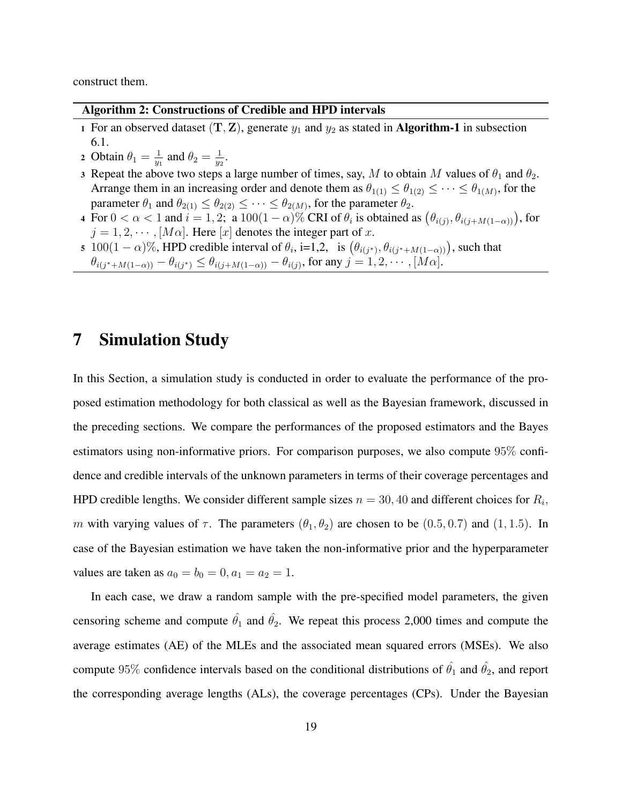construct them.

#### Algorithm 2: Constructions of Credible and HPD intervals

- 1 For an observed dataset  $(T, Z)$ , generate  $y_1$  and  $y_2$  as stated in **Algorithm-1** in subsection 6.1.
- 2 Obtain  $\theta_1 = \frac{1}{n_1}$  $\frac{1}{y_1}$  and  $\theta_2 = \frac{1}{y_2}$  $\frac{1}{y_2}$  .
- 3 Repeat the above two steps a large number of times, say, M to obtain M values of  $\theta_1$  and  $\theta_2$ . Arrange them in an increasing order and denote them as  $\theta_{1(1)} \leq \theta_{1(2)} \leq \cdots \leq \theta_{1(M)}$ , for the parameter  $\theta_1$  and  $\theta_{2(1)} \leq \theta_{2(2)} \leq \cdots \leq \theta_{2(M)}$ , for the parameter  $\theta_2$ .
- 4 For  $0 < \alpha < 1$  and  $i = 1, 2$ ; a  $100(1 \alpha)\%$  CRI of  $\theta_i$  is obtained as  $(\theta_{i(j)}, \theta_{i(j+M(1-\alpha))})$ , for  $j = 1, 2, \cdots, [M\alpha]$ . Here  $[x]$  denotes the integer part of x.
- 5 100 $(1 \alpha)$ %, HPD credible interval of  $\theta_i$ , i=1,2, is  $(\theta_{i(j^*)}, \theta_{i(j^*+M(1-\alpha))})$ , such that  $\theta_{i(j^* + M(1-\alpha))} - \theta_{i(j^*)} \le \theta_{i(j+M(1-\alpha))} - \theta_{i(j)}$ , for any  $j = 1, 2, \dots, [M\alpha]$ .

## 7 Simulation Study

In this Section, a simulation study is conducted in order to evaluate the performance of the proposed estimation methodology for both classical as well as the Bayesian framework, discussed in the preceding sections. We compare the performances of the proposed estimators and the Bayes estimators using non-informative priors. For comparison purposes, we also compute 95% confidence and credible intervals of the unknown parameters in terms of their coverage percentages and HPD credible lengths. We consider different sample sizes  $n = 30, 40$  and different choices for  $R_i$ , m with varying values of  $\tau$ . The parameters  $(\theta_1, \theta_2)$  are chosen to be  $(0.5, 0.7)$  and  $(1, 1.5)$ . In case of the Bayesian estimation we have taken the non-informative prior and the hyperparameter values are taken as  $a_0 = b_0 = 0, a_1 = a_2 = 1$ .

In each case, we draw a random sample with the pre-specified model parameters, the given censoring scheme and compute  $\hat{\theta}_1$  and  $\hat{\theta}_2$ . We repeat this process 2,000 times and compute the average estimates (AE) of the MLEs and the associated mean squared errors (MSEs). We also compute 95% confidence intervals based on the conditional distributions of  $\hat{\theta_1}$  and  $\hat{\theta_2}$ , and report the corresponding average lengths (ALs), the coverage percentages (CPs). Under the Bayesian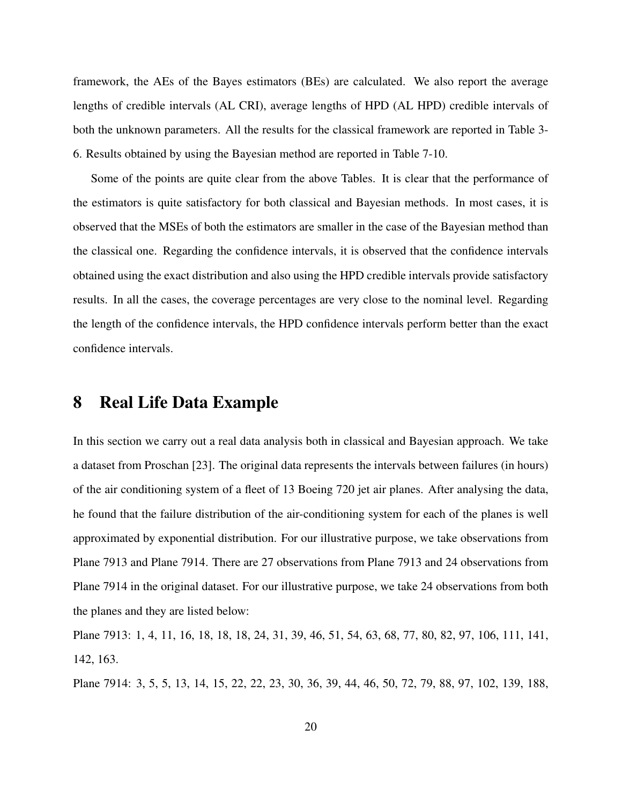framework, the AEs of the Bayes estimators (BEs) are calculated. We also report the average lengths of credible intervals (AL CRI), average lengths of HPD (AL HPD) credible intervals of both the unknown parameters. All the results for the classical framework are reported in Table 3- 6. Results obtained by using the Bayesian method are reported in Table 7-10.

Some of the points are quite clear from the above Tables. It is clear that the performance of the estimators is quite satisfactory for both classical and Bayesian methods. In most cases, it is observed that the MSEs of both the estimators are smaller in the case of the Bayesian method than the classical one. Regarding the confidence intervals, it is observed that the confidence intervals obtained using the exact distribution and also using the HPD credible intervals provide satisfactory results. In all the cases, the coverage percentages are very close to the nominal level. Regarding the length of the confidence intervals, the HPD confidence intervals perform better than the exact confidence intervals.

## 8 Real Life Data Example

In this section we carry out a real data analysis both in classical and Bayesian approach. We take a dataset from Proschan [23]. The original data represents the intervals between failures (in hours) of the air conditioning system of a fleet of 13 Boeing 720 jet air planes. After analysing the data, he found that the failure distribution of the air-conditioning system for each of the planes is well approximated by exponential distribution. For our illustrative purpose, we take observations from Plane 7913 and Plane 7914. There are 27 observations from Plane 7913 and 24 observations from Plane 7914 in the original dataset. For our illustrative purpose, we take 24 observations from both the planes and they are listed below:

Plane 7913: 1, 4, 11, 16, 18, 18, 18, 24, 31, 39, 46, 51, 54, 63, 68, 77, 80, 82, 97, 106, 111, 141, 142, 163.

Plane 7914: 3, 5, 5, 13, 14, 15, 22, 22, 23, 30, 36, 39, 44, 46, 50, 72, 79, 88, 97, 102, 139, 188,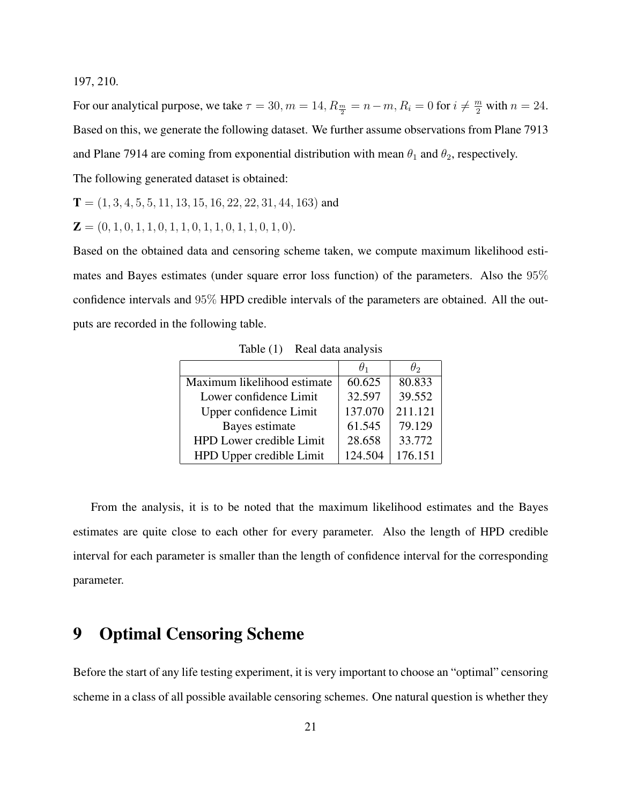197, 210.

For our analytical purpose, we take  $\tau = 30, m = 14, R_{\frac{m}{2}} = n - m, R_i = 0$  for  $i \neq \frac{m}{2}$  with  $n = 24$ . Based on this, we generate the following dataset. We further assume observations from Plane 7913 and Plane 7914 are coming from exponential distribution with mean  $\theta_1$  and  $\theta_2$ , respectively. The following generated dataset is obtained:

$$
T = (1, 3, 4, 5, 5, 11, 13, 15, 16, 22, 22, 31, 44, 163)
$$
 and

 $\mathbf{Z} = (0, 1, 0, 1, 1, 0, 1, 1, 0, 1, 1, 0, 1, 1, 0, 1, 0).$ 

Based on the obtained data and censoring scheme taken, we compute maximum likelihood estimates and Bayes estimates (under square error loss function) of the parameters. Also the 95% confidence intervals and 95% HPD credible intervals of the parameters are obtained. All the outputs are recorded in the following table.

|                             | $H_1$   | $\theta_2$ |
|-----------------------------|---------|------------|
| Maximum likelihood estimate | 60.625  | 80.833     |
| Lower confidence Limit      | 32.597  | 39.552     |
| Upper confidence Limit      | 137.070 | 211.121    |
| Bayes estimate              | 61.545  | 79.129     |
| HPD Lower credible Limit    | 28.658  | 33.772     |
| HPD Upper credible Limit    | 124.504 | 176.151    |

Table (1) Real data analysis

From the analysis, it is to be noted that the maximum likelihood estimates and the Bayes estimates are quite close to each other for every parameter. Also the length of HPD credible interval for each parameter is smaller than the length of confidence interval for the corresponding parameter.

# 9 Optimal Censoring Scheme

Before the start of any life testing experiment, it is very important to choose an "optimal" censoring scheme in a class of all possible available censoring schemes. One natural question is whether they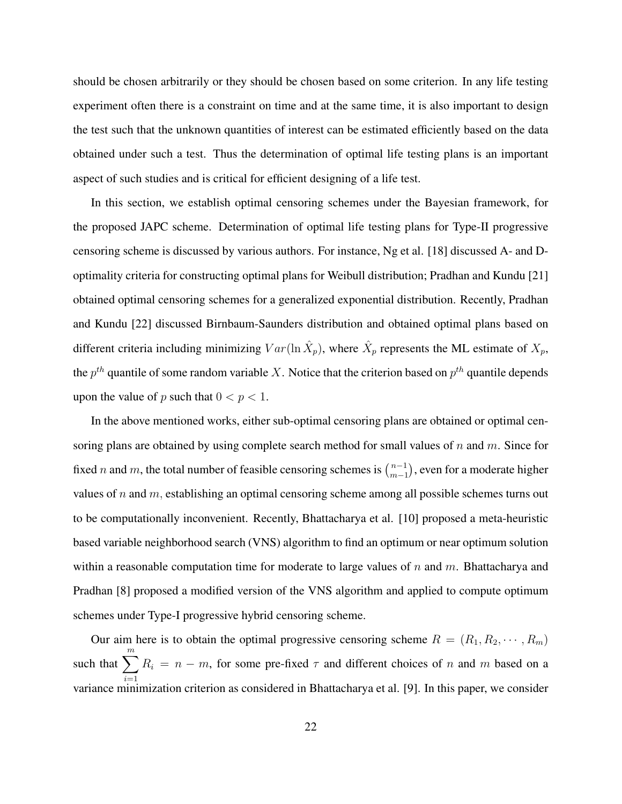should be chosen arbitrarily or they should be chosen based on some criterion. In any life testing experiment often there is a constraint on time and at the same time, it is also important to design the test such that the unknown quantities of interest can be estimated efficiently based on the data obtained under such a test. Thus the determination of optimal life testing plans is an important aspect of such studies and is critical for efficient designing of a life test.

In this section, we establish optimal censoring schemes under the Bayesian framework, for the proposed JAPC scheme. Determination of optimal life testing plans for Type-II progressive censoring scheme is discussed by various authors. For instance, Ng et al. [18] discussed A- and Doptimality criteria for constructing optimal plans for Weibull distribution; Pradhan and Kundu [21] obtained optimal censoring schemes for a generalized exponential distribution. Recently, Pradhan and Kundu [22] discussed Birnbaum-Saunders distribution and obtained optimal plans based on different criteria including minimizing  $Var(\ln \hat{X}_p)$ , where  $\hat{X}_p$  represents the ML estimate of  $X_p$ , the  $p^{th}$  quantile of some random variable X. Notice that the criterion based on  $p^{th}$  quantile depends upon the value of p such that  $0 < p < 1$ .

In the above mentioned works, either sub-optimal censoring plans are obtained or optimal censoring plans are obtained by using complete search method for small values of  $n$  and  $m$ . Since for fixed *n* and *m*, the total number of feasible censoring schemes is  $\binom{n-1}{m-1}$  $_{m-1}^{n-1}$ ), even for a moderate higher values of  $n$  and  $m$ , establishing an optimal censoring scheme among all possible schemes turns out to be computationally inconvenient. Recently, Bhattacharya et al. [10] proposed a meta-heuristic based variable neighborhood search (VNS) algorithm to find an optimum or near optimum solution within a reasonable computation time for moderate to large values of  $n$  and  $m$ . Bhattacharya and Pradhan [8] proposed a modified version of the VNS algorithm and applied to compute optimum schemes under Type-I progressive hybrid censoring scheme.

Our aim here is to obtain the optimal progressive censoring scheme  $R = (R_1, R_2, \dots, R_m)$ such that  $\sum_{m=1}^{m}$  $i=1$  $R_i = n - m$ , for some pre-fixed  $\tau$  and different choices of n and m based on a variance minimization criterion as considered in Bhattacharya et al. [9]. In this paper, we consider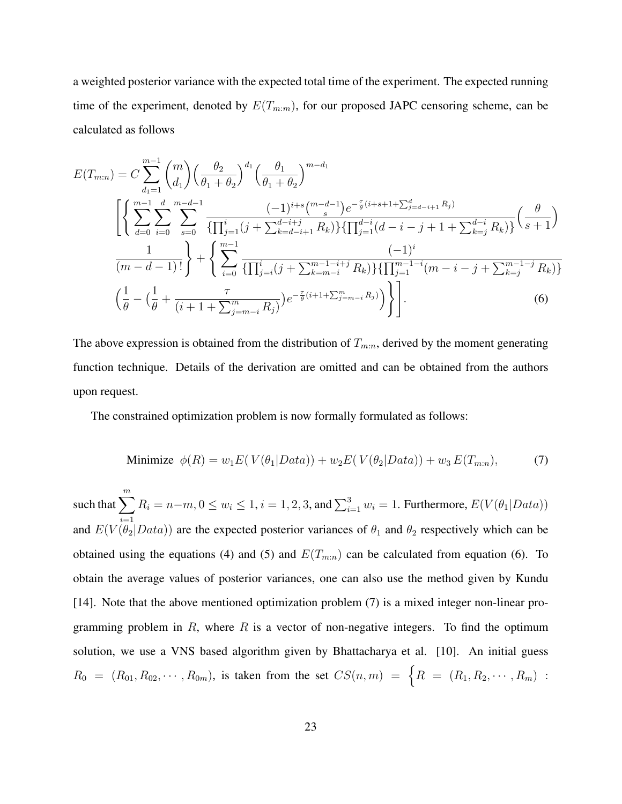a weighted posterior variance with the expected total time of the experiment. The expected running time of the experiment, denoted by  $E(T_{m:m})$ , for our proposed JAPC censoring scheme, can be calculated as follows

$$
E(T_{m:n}) = C \sum_{d_1=1}^{m-1} {m \choose d_1} \left(\frac{\theta_2}{\theta_1 + \theta_2}\right)^{d_1} \left(\frac{\theta_1}{\theta_1 + \theta_2}\right)^{m-d_1}
$$
  

$$
\left[ \left\{ \sum_{d=0}^{m-1} \sum_{i=0}^d \sum_{s=0}^{m-d-1} \frac{(-1)^{i+s} \binom{m-d-1}{s} e^{-\frac{\tau}{\theta}(i+s+1+\sum_{j=d-i+1}^d R_j)}}{\{\prod_{j=1}^i (j+\sum_{k=d-i+1}^{d-i+1} R_k)\} \{\prod_{j=1}^{d-i} (d-i-j+1+\sum_{k=j}^{d-i} R_k)\}} \left(\frac{\theta}{s+1}\right)^{m-d_1} \left(\frac{1}{m-d-1}\right)^{i} + \left\{ \sum_{i=0}^{m-1} \frac{(-1)^i}{\{\prod_{j=i}^i (j+\sum_{k=m-i}^{m-1-i+j} R_k)\} \{\prod_{j=1}^{m-1-i} (m-i-j+\sum_{k=j}^{m-1-j} R_k)\}} \left(\frac{1}{\theta} - \left(\frac{1}{\theta} + \frac{\tau}{(i+1+\sum_{j=m-i}^m R_j)}\right) e^{-\frac{\tau}{\theta}(i+1+\sum_{j=m-i}^m R_j)}\right)\right\} \right].
$$
 (6)

The above expression is obtained from the distribution of  $T_{m:n}$ , derived by the moment generating function technique. Details of the derivation are omitted and can be obtained from the authors upon request.

The constrained optimization problem is now formally formulated as follows:

Minimize 
$$
\phi(R) = w_1 E(V(\theta_1|Data)) + w_2 E(V(\theta_2|Data)) + w_3 E(T_{m:n}),
$$
 (7)

such that  $\sum_{m=1}^{m}$  $i=1$  $R_i = n-m, 0 \le w_i \le 1, i = 1, 2, 3$ , and  $\sum_{i=1}^{3} w_i = 1$ . Furthermore,  $E(V(\theta_1| Data))$ and  $E(V(\theta_2|Data))$  are the expected posterior variances of  $\theta_1$  and  $\theta_2$  respectively which can be obtained using the equations (4) and (5) and  $E(T_{m:n})$  can be calculated from equation (6). To obtain the average values of posterior variances, one can also use the method given by Kundu [14]. Note that the above mentioned optimization problem (7) is a mixed integer non-linear programming problem in  $R$ , where  $R$  is a vector of non-negative integers. To find the optimum solution, we use a VNS based algorithm given by Bhattacharya et al. [10]. An initial guess  $R_0 = (R_{01}, R_{02}, \cdots, R_{0m})$ , is taken from the set  $CS(n,m) = \{R = (R_1, R_2, \cdots, R_m)$ :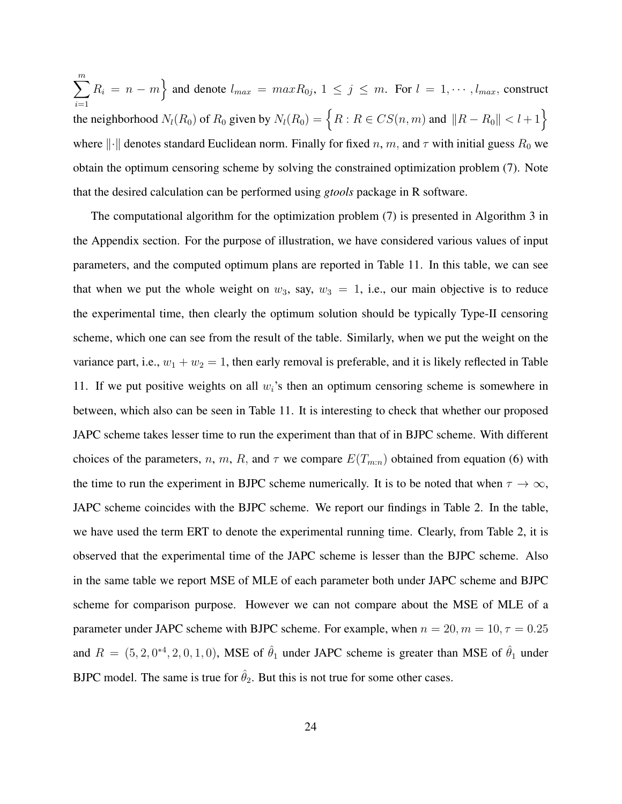$\sum_{i=1}^{m} R_i = n - m$  and denote  $l_{max} = maxR_{0j}, 1 \le j \le m$ . For  $l = 1, \dots, l_{max}$ , construct  $i=1$ the neighborhood  $N_l(R_0)$  of  $R_0$  given by  $N_l(R_0) = \{ R : R \in CS(n, m) \text{ and } ||R - R_0|| < l + 1 \}$ where  $\lVert \cdot \rVert$  denotes standard Euclidean norm. Finally for fixed n, m, and  $\tau$  with initial guess  $R_0$  we obtain the optimum censoring scheme by solving the constrained optimization problem (7). Note that the desired calculation can be performed using *gtools* package in R software.

The computational algorithm for the optimization problem (7) is presented in Algorithm 3 in the Appendix section. For the purpose of illustration, we have considered various values of input parameters, and the computed optimum plans are reported in Table 11. In this table, we can see that when we put the whole weight on  $w_3$ , say,  $w_3 = 1$ , i.e., our main objective is to reduce the experimental time, then clearly the optimum solution should be typically Type-II censoring scheme, which one can see from the result of the table. Similarly, when we put the weight on the variance part, i.e.,  $w_1 + w_2 = 1$ , then early removal is preferable, and it is likely reflected in Table 11. If we put positive weights on all  $w_i$ 's then an optimum censoring scheme is somewhere in between, which also can be seen in Table 11. It is interesting to check that whether our proposed JAPC scheme takes lesser time to run the experiment than that of in BJPC scheme. With different choices of the parameters, n, m, R, and  $\tau$  we compare  $E(T_{m:n})$  obtained from equation (6) with the time to run the experiment in BJPC scheme numerically. It is to be noted that when  $\tau \to \infty$ , JAPC scheme coincides with the BJPC scheme. We report our findings in Table 2. In the table, we have used the term ERT to denote the experimental running time. Clearly, from Table 2, it is observed that the experimental time of the JAPC scheme is lesser than the BJPC scheme. Also in the same table we report MSE of MLE of each parameter both under JAPC scheme and BJPC scheme for comparison purpose. However we can not compare about the MSE of MLE of a parameter under JAPC scheme with BJPC scheme. For example, when  $n = 20, m = 10, \tau = 0.25$ and  $R = (5, 2, 0^{*4}, 2, 0, 1, 0)$ , MSE of  $\hat{\theta}_1$  under JAPC scheme is greater than MSE of  $\hat{\theta}_1$  under BJPC model. The same is true for  $\hat{\theta}_2$ . But this is not true for some other cases.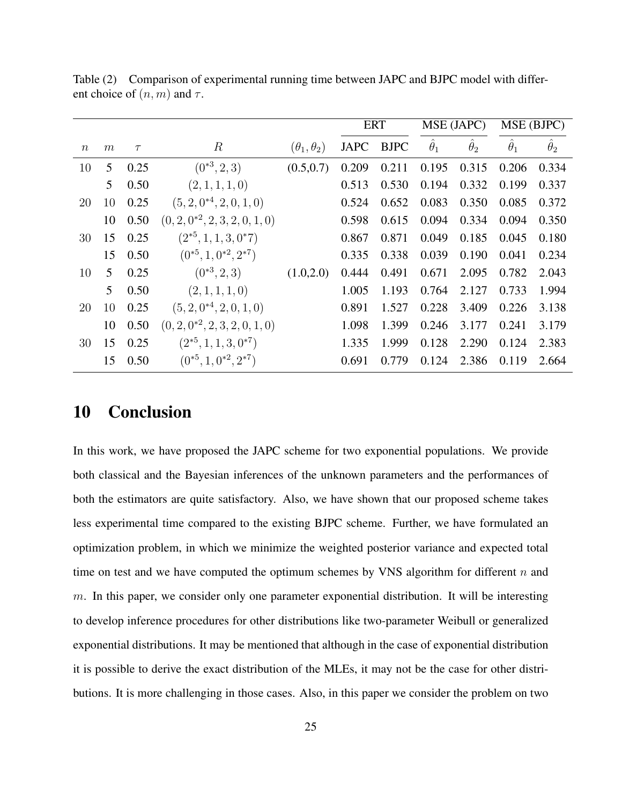|                  |                 |        |                                    |                        |             | <b>ERT</b>  |                  | MSE (JAPC)       |                   | MSE (BJPC)       |
|------------------|-----------------|--------|------------------------------------|------------------------|-------------|-------------|------------------|------------------|-------------------|------------------|
| $\boldsymbol{n}$ | m               | $\tau$ | $\boldsymbol{R}$                   | $(\theta_1, \theta_2)$ | <b>JAPC</b> | <b>BJPC</b> | $\hat{\theta}_1$ | $\hat{\theta}_2$ | $\ddot{\theta}_1$ | $\hat{\theta}_2$ |
| 10               | $5\overline{)}$ | 0.25   | $(0^{*3}, 2, 3)$                   | (0.5, 0.7)             | 0.209       | 0.211       | 0.195            | 0.315            | 0.206             | 0.334            |
|                  | 5               | 0.50   | (2, 1, 1, 1, 0)                    |                        | 0.513       | 0.530       | 0.194            | 0.332            | 0.199             | 0.337            |
| 20               | 10              | 0.25   | $(5, 2, 0^{*4}, 2, 0, 1, 0)$       |                        | 0.524       | 0.652       | 0.083            | 0.350            | 0.085             | 0.372            |
|                  | 10              | 0.50   | $(0, 2, 0^{*2}, 2, 3, 2, 0, 1, 0)$ |                        | 0.598       | 0.615       | 0.094            | 0.334            | 0.094             | 0.350            |
| 30               | 15              | 0.25   | $(2^{*5}, 1, 1, 3, 0^*7)$          |                        | 0.867       | 0.871       | 0.049            | 0.185            | 0.045             | 0.180            |
|                  | 15              | 0.50   | $(0^{*5}, 1, 0^{*2}, 2^{*7})$      |                        | 0.335       | 0.338       | 0.039            | 0.190            | 0.041             | 0.234            |
| 10               | 5               | 0.25   | $(0^{*3}, 2, 3)$                   | (1.0, 2.0)             | 0.444       | 0.491       | 0.671            | 2.095            | 0.782             | 2.043            |
|                  | 5               | 0.50   | (2, 1, 1, 1, 0)                    |                        | 1.005       | 1.193       | 0.764            | 2.127            | 0.733             | 1.994            |
| 20               | 10              | 0.25   | $(5, 2, 0^{*4}, 2, 0, 1, 0)$       |                        | 0.891       | 1.527       | 0.228            | 3.409            | 0.226             | 3.138            |
|                  | 10              | 0.50   | $(0, 2, 0^{*2}, 2, 3, 2, 0, 1, 0)$ |                        | 1.098       | 1.399       | 0.246            | 3.177            | 0.241             | 3.179            |
| 30               | 15              | 0.25   | $(2^{*5}, 1, 1, 3, 0^{*7})$        |                        | 1.335       | 1.999       | 0.128            | 2.290            | 0.124             | 2.383            |
|                  | 15              | 0.50   | $(0^{*5}, 1, 0^{*2}, 2^{*7})$      |                        | 0.691       | 0.779       | 0.124            | 2.386            | 0.119             | 2.664            |

Table (2) Comparison of experimental running time between JAPC and BJPC model with different choice of  $(n, m)$  and  $\tau$ .

## 10 Conclusion

In this work, we have proposed the JAPC scheme for two exponential populations. We provide both classical and the Bayesian inferences of the unknown parameters and the performances of both the estimators are quite satisfactory. Also, we have shown that our proposed scheme takes less experimental time compared to the existing BJPC scheme. Further, we have formulated an optimization problem, in which we minimize the weighted posterior variance and expected total time on test and we have computed the optimum schemes by VNS algorithm for different  $n$  and  $m$ . In this paper, we consider only one parameter exponential distribution. It will be interesting to develop inference procedures for other distributions like two-parameter Weibull or generalized exponential distributions. It may be mentioned that although in the case of exponential distribution it is possible to derive the exact distribution of the MLEs, it may not be the case for other distributions. It is more challenging in those cases. Also, in this paper we consider the problem on two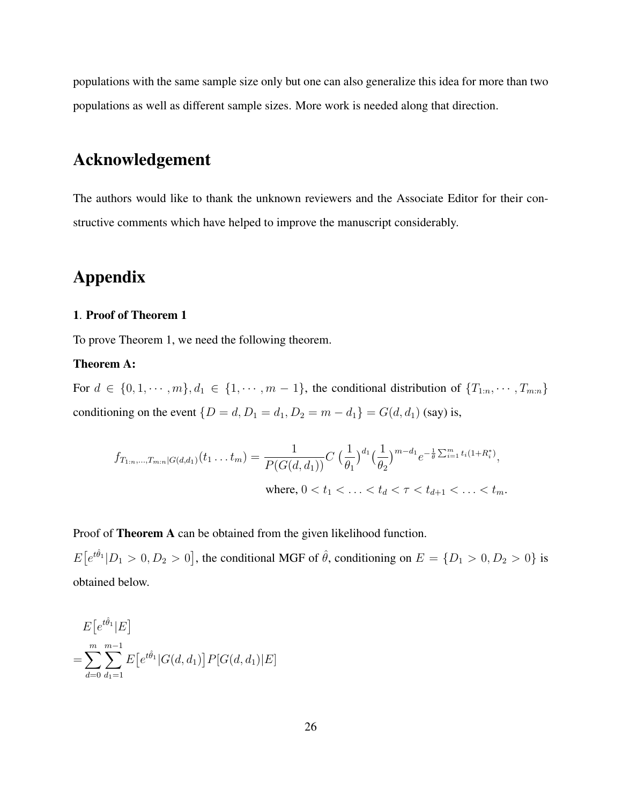populations with the same sample size only but one can also generalize this idea for more than two populations as well as different sample sizes. More work is needed along that direction.

## Acknowledgement

The authors would like to thank the unknown reviewers and the Associate Editor for their constructive comments which have helped to improve the manuscript considerably.

# Appendix

#### 1. Proof of Theorem 1

To prove Theorem 1, we need the following theorem.

#### Theorem A:

For  $d \in \{0, 1, \dots, m\}, d_1 \in \{1, \dots, m-1\}$ , the conditional distribution of  $\{T_{1:n}, \dots, T_{m:n}\}$ conditioning on the event { $D = d, D_1 = d_1, D_2 = m - d_1$ } =  $G(d, d_1)$  (say) is,

$$
f_{T_{1:n},\dots,T_{m:n}|G(d,d_1)}(t_1\dots t_m) = \frac{1}{P(G(d,d_1))} C \left(\frac{1}{\theta_1}\right)^{d_1} \left(\frac{1}{\theta_2}\right)^{m-d_1} e^{-\frac{1}{\theta} \sum_{i=1}^m t_i (1+R_i^*)},
$$
  
where,  $0 < t_1 < \dots < t_d < \tau < t_{d+1} < \dots < t_m$ .

Proof of Theorem A can be obtained from the given likelihood function.

 $E[e^{t\hat{\theta}_1}|D_1>0, D_2>0]$ , the conditional MGF of  $\hat{\theta}$ , conditioning on  $E = \{D_1>0, D_2>0\}$  is obtained below.

$$
E[e^{t\hat{\theta}_1}|E]
$$
  
= 
$$
\sum_{d=0}^{m} \sum_{d_1=1}^{m-1} E[e^{t\hat{\theta}_1}|G(d,d_1)] P[G(d,d_1)|E]
$$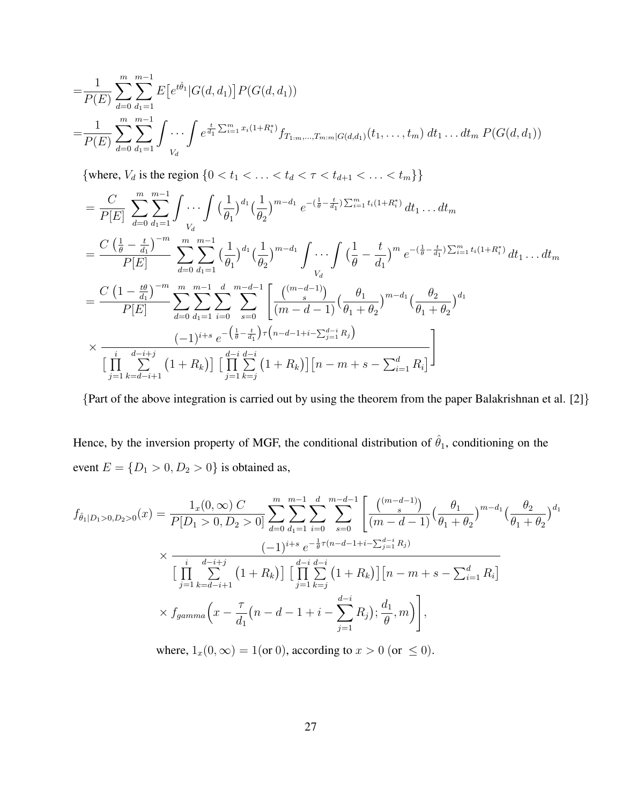$$
=\frac{1}{P(E)}\sum_{d=0}^{m}\sum_{d_1=1}^{m-1}E\left[e^{t\hat{\theta}_1}|G(d,d_1)\right]P(G(d,d_1))
$$
  
=
$$
\frac{1}{P(E)}\sum_{d=0}^{m}\sum_{d_1=1}^{m-1}\int\cdots\int e^{\frac{t}{d_1}\sum_{i=1}^{m}x_i(1+R_i^*)}f_{T_{1:m},...,T_{m:m}|G(d,d_1)}(t_1,...,t_m) dt_1...dt_m P(G(d,d_1))
$$

{where,  $V_d$  is the region {0 < t<sub>1</sub> < ... < t<sub>d</sub> <  $\tau$  < t<sub>d+1</sub> < ... < t<sub>m</sub>}}

$$
= \frac{C}{P[E]} \sum_{d=0}^{m} \sum_{d_1=1}^{m-1} \int \cdots \int \left(\frac{1}{\theta_1}\right)^{d_1} \left(\frac{1}{\theta_2}\right)^{m-d_1} e^{-\left(\frac{1}{\theta}-\frac{t}{d_1}\right) \sum_{i=1}^{m} t_i (1+R_i^*)} dt_1 \dots dt_m
$$
  
\n
$$
= \frac{C \left(\frac{1}{\theta}-\frac{t}{d_1}\right)^{-m}}{P[E]} \sum_{d=0}^{m} \sum_{d_1=1}^{m-1} \left(\frac{1}{\theta_1}\right)^{d_1} \left(\frac{1}{\theta_2}\right)^{m-d_1} \int \cdots \int \left(\frac{1}{\theta}-\frac{t}{d_1}\right)^{m} e^{-\left(\frac{1}{\theta}-\frac{t}{d_1}\right) \sum_{i=1}^{m} t_i (1+R_i^*)} dt_1 \dots dt_m
$$
  
\n
$$
= \frac{C \left(1-\frac{t\theta}{d_1}\right)^{-m}}{P[E]} \sum_{d=0}^{m} \sum_{d_1=1}^{m-1} \sum_{i=0}^{d} \sum_{s=0}^{m-d-1} \left[\frac{\binom{(m-d-1)}{s}}{(m-d-1)} \left(\frac{\theta_1}{\theta_1+\theta_2}\right)^{m-d_1} \left(\frac{\theta_2}{\theta_1+\theta_2}\right)^{d_1} \right]
$$
  
\n
$$
\times \frac{\left(-1\right)^{i+s} e^{-\left(\frac{1}{\theta}-\frac{t}{d_1}\right) \tau \left(n-d-1+i - \sum_{j=1}^{d-i} R_j\right)}}{\left[\prod_{j=1}^{i} \sum_{k=d-i+1}^{d-i+j} \left(1+R_k\right)\right] \left[\prod_{j=1}^{d-i} \sum_{k=j}^{d-i} \left(1+R_k\right)\right] \left[n-m+s - \sum_{i=1}^{d} R_i\right]}
$$

{Part of the above integration is carried out by using the theorem from the paper Balakrishnan et al. [2]}

Hence, by the inversion property of MGF, the conditional distribution of  $\hat{\theta}_1$ , conditioning on the event  $E = \{D_1 > 0, D_2 > 0\}$  is obtained as,

$$
f_{\hat{\theta}_1|D_1>0,D_2>0}(x) = \frac{1_x(0,\infty) C}{P[D_1>0,D_2>0]} \sum_{d=0}^m \sum_{d_1=1}^{m-1} \sum_{i=0}^d \sum_{s=0}^{m-d-1} \left[ \frac{\binom{(m-d-1)}{s}}{(m-d-1)} \left( \frac{\theta_1}{\theta_1 + \theta_2} \right)^{m-d_1} \left( \frac{\theta_2}{\theta_1 + \theta_2} \right)^{d_1} \right]
$$
  

$$
\times \frac{\left( -1 \right)^{i+s} e^{-\frac{1}{\theta}\tau (n-d-1+i-\sum_{j=1}^{d-i} R_j)}}{\left[ \prod_{j=1}^i \sum_{k=d-i+1}^{d-i+1} \left( 1 + R_k \right) \right] \left[ \prod_{j=1}^{d-i} \sum_{k=j}^{d-i} \left( 1 + R_k \right) \right] \left[ n - m + s - \sum_{i=1}^d R_i \right]}
$$
  

$$
\times f_{gamma}(x) = \frac{\tau}{d_1} (n-d-1+i-\sum_{j=1}^{d-i} R_j) \frac{d_1}{\theta}, m \right),
$$

where,  $1_x(0, \infty) = 1$  (or 0), according to  $x > 0$  (or  $\leq 0$ ).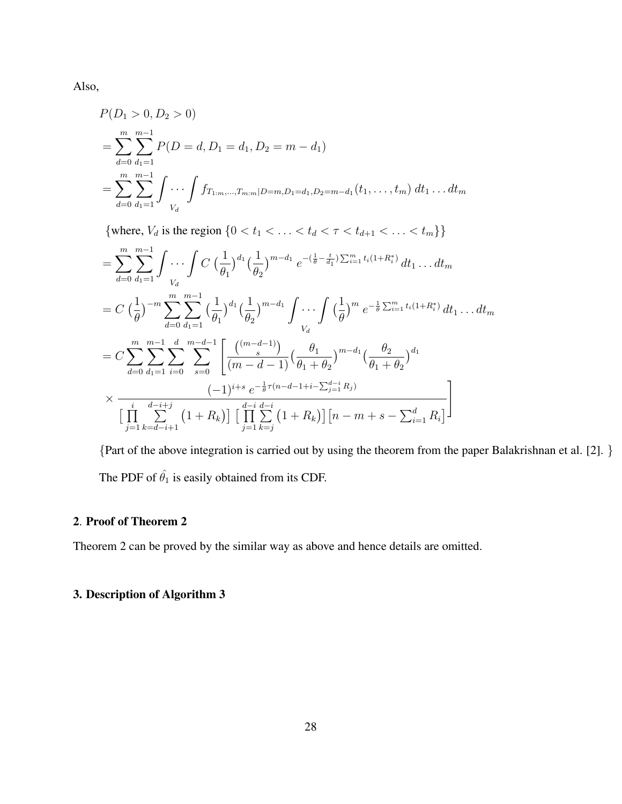Also,

$$
P(D_1 > 0, D_2 > 0)
$$
  
= 
$$
\sum_{d=0}^{m} \sum_{d_1=1}^{m-1} P(D = d, D_1 = d_1, D_2 = m - d_1)
$$
  
= 
$$
\sum_{d=0}^{m} \sum_{d_1=1}^{m-1} \int \cdots \int f_{T_{1:m},...,T_{m:m}|D=m,D_1=d_1,D_2=m-d_1}(t_1,...,t_m) dt_1...dt_m
$$

{where,  $V_d$  is the region  $\{0 < t_1 < \ldots < t_d < \tau < t_{d+1} < \ldots < t_m\}$ }

$$
= \sum_{d=0}^{m} \sum_{d_1=1}^{m-1} \int \cdots \int C \left(\frac{1}{\theta_1}\right)^{d_1} \left(\frac{1}{\theta_2}\right)^{m-d_1} e^{-\left(\frac{1}{\theta} - \frac{t}{d_1}\right) \sum_{i=1}^{m} t_i (1 + R_i^*)} dt_1 \dots dt_m
$$
  
\n
$$
= C \left(\frac{1}{\theta}\right)^{-m} \sum_{d=0}^{m} \sum_{d_1=1}^{m-1} \left(\frac{1}{\theta_1}\right)^{d_1} \left(\frac{1}{\theta_2}\right)^{m-d_1} \int \cdots \int \left(\frac{1}{\theta}\right)^m e^{-\frac{1}{\theta} \sum_{i=1}^{m} t_i (1 + R_i^*)} dt_1 \dots dt_m
$$
  
\n
$$
= C \sum_{d=0}^{m} \sum_{d_1=1}^{m-1} \sum_{i=0}^{d} \sum_{s=0}^{m-d-1} \left[ \frac{\binom{(m-d-1)}{s}}{\left(m-d-1\right)} \left(\frac{\theta_1}{\theta_1 + \theta_2}\right)^{m-d_1} \left(\frac{\theta_2}{\theta_1 + \theta_2}\right)^{d_1} \right]
$$
  
\n
$$
\times \frac{\left(-1\right)^{i+s} e^{-\frac{1}{\theta}\tau (n-d-1+i - \sum_{j=1}^{d-i} R_j)} \left[ \prod_{j=1}^{d-i} \sum_{k=d-i+1}^{d-i} \left(1 + R_k\right) \right] \left[ \prod_{j=1}^{d-i} \sum_{k=j}^{d-i} \left(1 + R_k\right) \right] \left[ n - m + s - \sum_{i=1}^{d} R_i \right]
$$

{Part of the above integration is carried out by using the theorem from the paper Balakrishnan et al. [2]. } The PDF of  $\hat{\theta}_1$  is easily obtained from its CDF.

## 2. Proof of Theorem 2

Theorem 2 can be proved by the similar way as above and hence details are omitted.

### 3. Description of Algorithm 3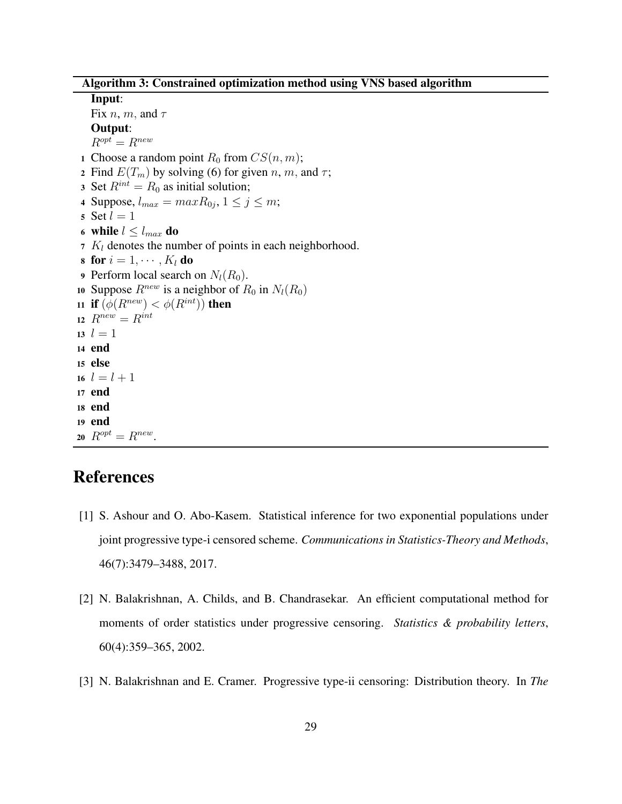Algorithm 3: Constrained optimization method using VNS based algorithm

#### Input:

Fix *n*, *m*, and  $\tau$ Output:  $R^{opt} = R^{new}$ 1 Choose a random point  $R_0$  from  $CS(n, m)$ ; 2 Find  $E(T_m)$  by solving (6) for given n, m, and  $\tau$ ; 3 Set  $R^{int} = R_0$  as initial solution; 4 Suppose,  $l_{max} = maxR_{0j}$ ,  $1 \le j \le m$ ; 5 Set  $l = 1$ 6 while  $l \leq l_{max}$  do 7  $K_l$  denotes the number of points in each neighborhood. 8 for  $i = 1, \cdots, K_l$  do **9** Perform local search on  $N_l(R_0)$ . 10 Suppose  $R^{new}$  is a neighbor of  $R_0$  in  $N_l(R_0)$ 11 if  $(\phi(R^{new}) < \phi(R^{int}))$  then 12  $R^{new} = R^{int}$ 13  $l = 1$ <sup>14</sup> end <sup>15</sup> else 16  $l = l + 1$ <sup>17</sup> end <sup>18</sup> end <sup>19</sup> end 20  $R^{opt} = R^{new}$ .

# References

- [1] S. Ashour and O. Abo-Kasem. Statistical inference for two exponential populations under joint progressive type-i censored scheme. *Communications in Statistics-Theory and Methods*, 46(7):3479–3488, 2017.
- [2] N. Balakrishnan, A. Childs, and B. Chandrasekar. An efficient computational method for moments of order statistics under progressive censoring. *Statistics & probability letters*, 60(4):359–365, 2002.
- [3] N. Balakrishnan and E. Cramer. Progressive type-ii censoring: Distribution theory. In *The*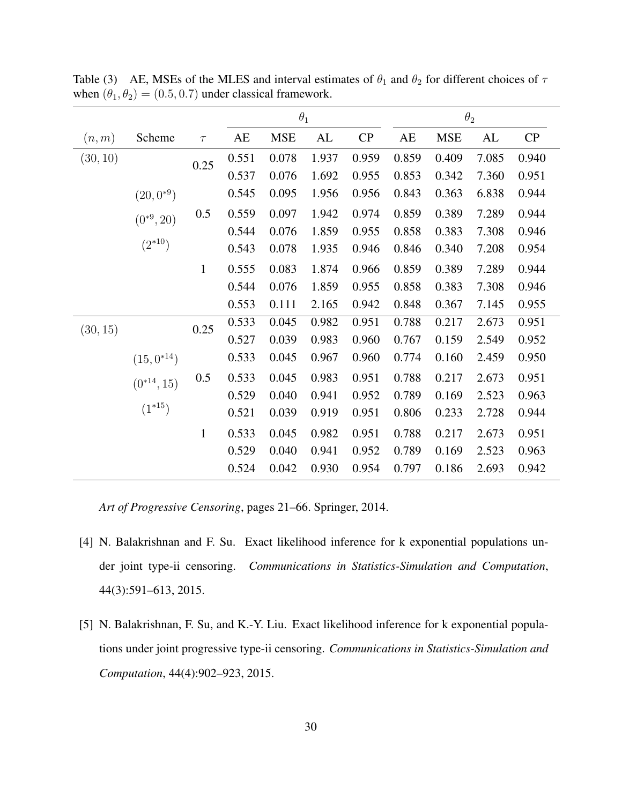|          |                 |              |       | $\theta_1$ |       |       |       |            | $\theta_2$ |       |
|----------|-----------------|--------------|-------|------------|-------|-------|-------|------------|------------|-------|
| (n, m)   | Scheme          | $\tau$       | AE    | <b>MSE</b> | AL    | CP    | AE    | <b>MSE</b> | AL         | CP    |
| (30, 10) |                 | 0.25         | 0.551 | 0.078      | 1.937 | 0.959 | 0.859 | 0.409      | 7.085      | 0.940 |
|          |                 |              | 0.537 | 0.076      | 1.692 | 0.955 | 0.853 | 0.342      | 7.360      | 0.951 |
|          | $(20,0^{*9})$   |              | 0.545 | 0.095      | 1.956 | 0.956 | 0.843 | 0.363      | 6.838      | 0.944 |
|          | $(0^{*9}, 20)$  | 0.5          | 0.559 | 0.097      | 1.942 | 0.974 | 0.859 | 0.389      | 7.289      | 0.944 |
|          |                 |              | 0.544 | 0.076      | 1.859 | 0.955 | 0.858 | 0.383      | 7.308      | 0.946 |
|          | $(2^{*10})$     |              | 0.543 | 0.078      | 1.935 | 0.946 | 0.846 | 0.340      | 7.208      | 0.954 |
|          |                 | $\mathbf{1}$ | 0.555 | 0.083      | 1.874 | 0.966 | 0.859 | 0.389      | 7.289      | 0.944 |
|          |                 |              | 0.544 | 0.076      | 1.859 | 0.955 | 0.858 | 0.383      | 7.308      | 0.946 |
|          |                 |              | 0.553 | 0.111      | 2.165 | 0.942 | 0.848 | 0.367      | 7.145      | 0.955 |
| (30, 15) |                 | 0.25         | 0.533 | 0.045      | 0.982 | 0.951 | 0.788 | 0.217      | 2.673      | 0.951 |
|          |                 |              | 0.527 | 0.039      | 0.983 | 0.960 | 0.767 | 0.159      | 2.549      | 0.952 |
|          | $(15,0^{*14})$  |              | 0.533 | 0.045      | 0.967 | 0.960 | 0.774 | 0.160      | 2.459      | 0.950 |
|          | $(0^{*14}, 15)$ | 0.5          | 0.533 | 0.045      | 0.983 | 0.951 | 0.788 | 0.217      | 2.673      | 0.951 |
|          |                 |              | 0.529 | 0.040      | 0.941 | 0.952 | 0.789 | 0.169      | 2.523      | 0.963 |
|          | $(1^{*15})$     |              | 0.521 | 0.039      | 0.919 | 0.951 | 0.806 | 0.233      | 2.728      | 0.944 |
|          |                 | $\mathbf{1}$ | 0.533 | 0.045      | 0.982 | 0.951 | 0.788 | 0.217      | 2.673      | 0.951 |
|          |                 |              | 0.529 | 0.040      | 0.941 | 0.952 | 0.789 | 0.169      | 2.523      | 0.963 |
|          |                 |              | 0.524 | 0.042      | 0.930 | 0.954 | 0.797 | 0.186      | 2.693      | 0.942 |

Table (3) AE, MSEs of the MLES and interval estimates of  $\theta_1$  and  $\theta_2$  for different choices of  $\tau$ when  $(\theta_1, \theta_2) = (0.5, 0.7)$  under classical framework.

*Art of Progressive Censoring*, pages 21–66. Springer, 2014.

- [4] N. Balakrishnan and F. Su. Exact likelihood inference for k exponential populations under joint type-ii censoring. *Communications in Statistics-Simulation and Computation*, 44(3):591–613, 2015.
- [5] N. Balakrishnan, F. Su, and K.-Y. Liu. Exact likelihood inference for k exponential populations under joint progressive type-ii censoring. *Communications in Statistics-Simulation and Computation*, 44(4):902–923, 2015.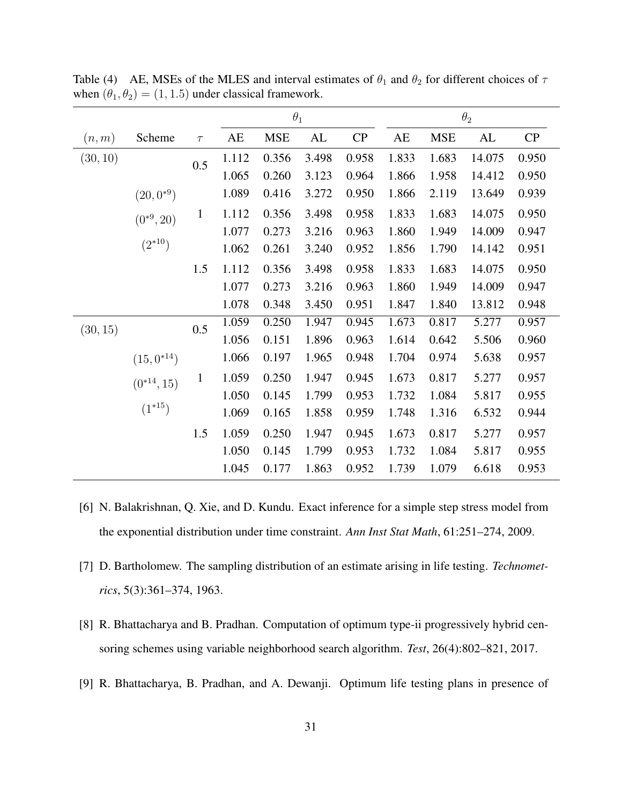|          |                 |              |       | $\theta_1$ |       |       |       |            | $\theta_2$ |       |
|----------|-----------------|--------------|-------|------------|-------|-------|-------|------------|------------|-------|
| (n, m)   | Scheme          | $\tau$       | AE    | <b>MSE</b> | AL    | CP    | AE    | <b>MSE</b> | AL         | CP    |
| (30, 10) |                 | 0.5          | 1.112 | 0.356      | 3.498 | 0.958 | 1.833 | 1.683      | 14.075     | 0.950 |
|          |                 |              | 1.065 | 0.260      | 3.123 | 0.964 | 1.866 | 1.958      | 14.412     | 0.950 |
|          | $(20,0^{*9})$   |              | 1.089 | 0.416      | 3.272 | 0.950 | 1.866 | 2.119      | 13.649     | 0.939 |
|          | $(0^{*9}, 20)$  | $\mathbf{1}$ | 1.112 | 0.356      | 3.498 | 0.958 | 1.833 | 1.683      | 14.075     | 0.950 |
|          |                 |              | 1.077 | 0.273      | 3.216 | 0.963 | 1.860 | 1.949      | 14.009     | 0.947 |
|          | $(2^{*10})$     |              | 1.062 | 0.261      | 3.240 | 0.952 | 1.856 | 1.790      | 14.142     | 0.951 |
|          |                 | 1.5          | 1.112 | 0.356      | 3.498 | 0.958 | 1.833 | 1.683      | 14.075     | 0.950 |
|          |                 |              | 1.077 | 0.273      | 3.216 | 0.963 | 1.860 | 1.949      | 14.009     | 0.947 |
|          |                 |              | 1.078 | 0.348      | 3.450 | 0.951 | 1.847 | 1.840      | 13.812     | 0.948 |
| (30, 15) |                 | 0.5          | 1.059 | 0.250      | 1.947 | 0.945 | 1.673 | 0.817      | 5.277      | 0.957 |
|          |                 |              | 1.056 | 0.151      | 1.896 | 0.963 | 1.614 | 0.642      | 5.506      | 0.960 |
|          | $(15,0^{*14})$  |              | 1.066 | 0.197      | 1.965 | 0.948 | 1.704 | 0.974      | 5.638      | 0.957 |
|          | $(0^{*14}, 15)$ | $\mathbf{1}$ | 1.059 | 0.250      | 1.947 | 0.945 | 1.673 | 0.817      | 5.277      | 0.957 |
|          |                 |              | 1.050 | 0.145      | 1.799 | 0.953 | 1.732 | 1.084      | 5.817      | 0.955 |
|          | $(1^{*15})$     |              | 1.069 | 0.165      | 1.858 | 0.959 | 1.748 | 1.316      | 6.532      | 0.944 |
|          |                 | 1.5          | 1.059 | 0.250      | 1.947 | 0.945 | 1.673 | 0.817      | 5.277      | 0.957 |
|          |                 |              | 1.050 | 0.145      | 1.799 | 0.953 | 1.732 | 1.084      | 5.817      | 0.955 |
|          |                 |              | 1.045 | 0.177      | 1.863 | 0.952 | 1.739 | 1.079      | 6.618      | 0.953 |

Table (4) AE, MSEs of the MLES and interval estimates of  $\theta_1$  and  $\theta_2$  for different choices of  $\tau$ when  $(\theta_1, \theta_2) = (1, 1.5)$  under classical framework.

- [6] N. Balakrishnan, Q. Xie, and D. Kundu. Exact inference for a simple step stress model from the exponential distribution under time constraint. *Ann Inst Stat Math*, 61:251–274, 2009.
- [7] D. Bartholomew. The sampling distribution of an estimate arising in life testing. *Technometrics*, 5(3):361–374, 1963.
- [8] R. Bhattacharya and B. Pradhan. Computation of optimum type-ii progressively hybrid censoring schemes using variable neighborhood search algorithm. *Test*, 26(4):802–821, 2017.
- [9] R. Bhattacharya, B. Pradhan, and A. Dewanji. Optimum life testing plans in presence of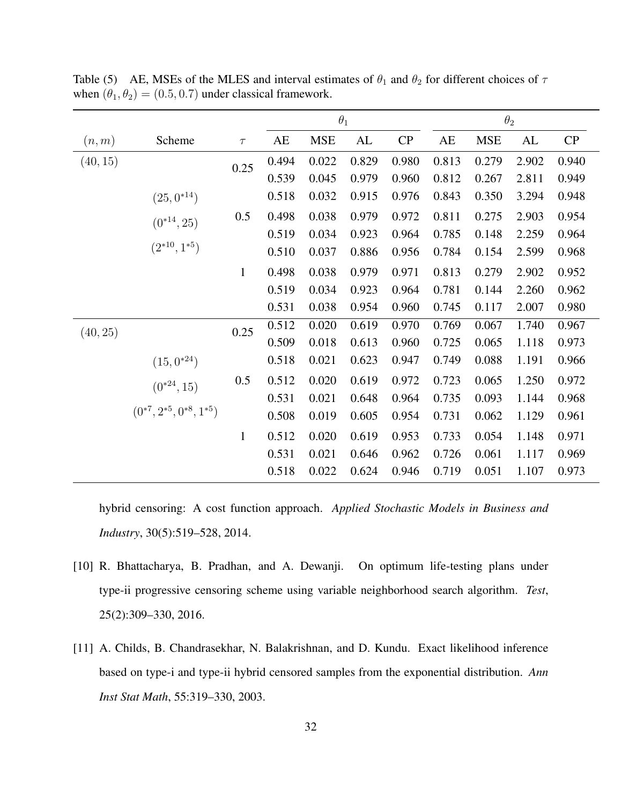|          |                                    |              |       | $\theta_1$ |       |       |                        |            | $\theta_2$ |       |
|----------|------------------------------------|--------------|-------|------------|-------|-------|------------------------|------------|------------|-------|
| (n, m)   | Scheme                             | $\tau$       | AE    | <b>MSE</b> | AL    | CP    | $\mathbf{A}\mathbf{E}$ | <b>MSE</b> | AL         | CP    |
| (40, 15) |                                    | 0.25         | 0.494 | 0.022      | 0.829 | 0.980 | 0.813                  | 0.279      | 2.902      | 0.940 |
|          |                                    |              | 0.539 | 0.045      | 0.979 | 0.960 | 0.812                  | 0.267      | 2.811      | 0.949 |
|          | $(25,0^{*14})$                     |              | 0.518 | 0.032      | 0.915 | 0.976 | 0.843                  | 0.350      | 3.294      | 0.948 |
|          | $(0^{*14}, 25)$                    | 0.5          | 0.498 | 0.038      | 0.979 | 0.972 | 0.811                  | 0.275      | 2.903      | 0.954 |
|          |                                    |              | 0.519 | 0.034      | 0.923 | 0.964 | 0.785                  | 0.148      | 2.259      | 0.964 |
|          | $(2^{*10}, 1^{*5})$                |              | 0.510 | 0.037      | 0.886 | 0.956 | 0.784                  | 0.154      | 2.599      | 0.968 |
|          |                                    | $\mathbf{1}$ | 0.498 | 0.038      | 0.979 | 0.971 | 0.813                  | 0.279      | 2.902      | 0.952 |
|          |                                    |              | 0.519 | 0.034      | 0.923 | 0.964 | 0.781                  | 0.144      | 2.260      | 0.962 |
|          |                                    |              | 0.531 | 0.038      | 0.954 | 0.960 | 0.745                  | 0.117      | 2.007      | 0.980 |
| (40, 25) |                                    | 0.25         | 0.512 | 0.020      | 0.619 | 0.970 | 0.769                  | 0.067      | 1.740      | 0.967 |
|          |                                    |              | 0.509 | 0.018      | 0.613 | 0.960 | 0.725                  | 0.065      | 1.118      | 0.973 |
|          | $(15,0^{*24})$                     |              | 0.518 | 0.021      | 0.623 | 0.947 | 0.749                  | 0.088      | 1.191      | 0.966 |
|          | $(0^{*24}, 15)$                    | 0.5          | 0.512 | 0.020      | 0.619 | 0.972 | 0.723                  | 0.065      | 1.250      | 0.972 |
|          |                                    |              | 0.531 | 0.021      | 0.648 | 0.964 | 0.735                  | 0.093      | 1.144      | 0.968 |
|          | $(0^{*7}, 2^{*5}, 0^{*8}, 1^{*5})$ |              | 0.508 | 0.019      | 0.605 | 0.954 | 0.731                  | 0.062      | 1.129      | 0.961 |
|          |                                    | $\mathbf{1}$ | 0.512 | 0.020      | 0.619 | 0.953 | 0.733                  | 0.054      | 1.148      | 0.971 |
|          |                                    |              | 0.531 | 0.021      | 0.646 | 0.962 | 0.726                  | 0.061      | 1.117      | 0.969 |
|          |                                    |              | 0.518 | 0.022      | 0.624 | 0.946 | 0.719                  | 0.051      | 1.107      | 0.973 |

Table (5) AE, MSEs of the MLES and interval estimates of  $\theta_1$  and  $\theta_2$  for different choices of  $\tau$ when  $(\theta_1, \theta_2) = (0.5, 0.7)$  under classical framework.

hybrid censoring: A cost function approach. *Applied Stochastic Models in Business and Industry*, 30(5):519–528, 2014.

- [10] R. Bhattacharya, B. Pradhan, and A. Dewanji. On optimum life-testing plans under type-ii progressive censoring scheme using variable neighborhood search algorithm. *Test*, 25(2):309–330, 2016.
- [11] A. Childs, B. Chandrasekhar, N. Balakrishnan, and D. Kundu. Exact likelihood inference based on type-i and type-ii hybrid censored samples from the exponential distribution. *Ann Inst Stat Math*, 55:319–330, 2003.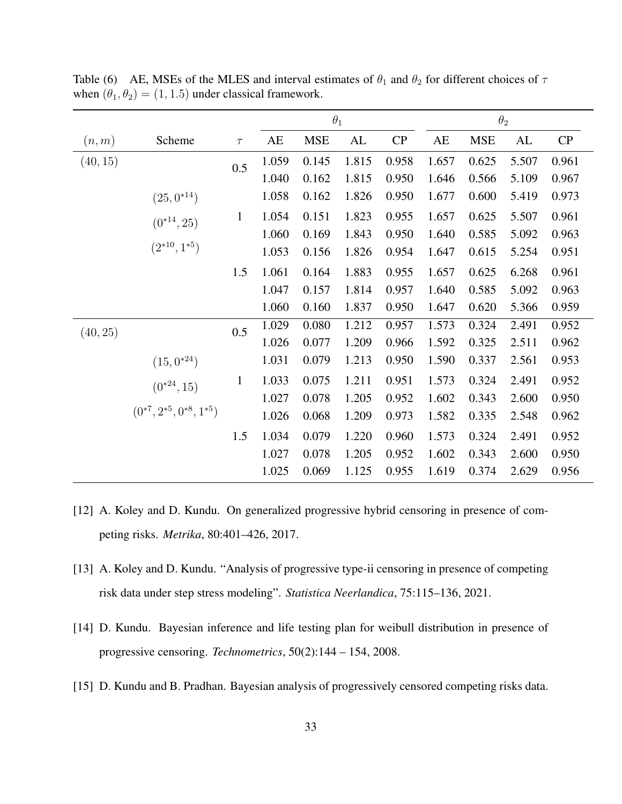|          |                                    |              |                        |            | $\theta_1$ |       |       |            | $\theta_2$ |       |
|----------|------------------------------------|--------------|------------------------|------------|------------|-------|-------|------------|------------|-------|
| (n, m)   | Scheme                             | $\tau$       | $\mathbf{A}\mathbf{E}$ | <b>MSE</b> | AL         | CP    | AE    | <b>MSE</b> | AL         | CP    |
| (40, 15) |                                    | 0.5          | 1.059                  | 0.145      | 1.815      | 0.958 | 1.657 | 0.625      | 5.507      | 0.961 |
|          |                                    |              | 1.040                  | 0.162      | 1.815      | 0.950 | 1.646 | 0.566      | 5.109      | 0.967 |
|          | $(25,0^{*14})$                     |              | 1.058                  | 0.162      | 1.826      | 0.950 | 1.677 | 0.600      | 5.419      | 0.973 |
|          | $(0^{*14}, 25)$                    | $\mathbf{1}$ | 1.054                  | 0.151      | 1.823      | 0.955 | 1.657 | 0.625      | 5.507      | 0.961 |
|          |                                    |              | 1.060                  | 0.169      | 1.843      | 0.950 | 1.640 | 0.585      | 5.092      | 0.963 |
|          | $(2^{*10}, 1^{*5})$                |              | 1.053                  | 0.156      | 1.826      | 0.954 | 1.647 | 0.615      | 5.254      | 0.951 |
|          |                                    | 1.5          | 1.061                  | 0.164      | 1.883      | 0.955 | 1.657 | 0.625      | 6.268      | 0.961 |
|          |                                    |              | 1.047                  | 0.157      | 1.814      | 0.957 | 1.640 | 0.585      | 5.092      | 0.963 |
|          |                                    |              | 1.060                  | 0.160      | 1.837      | 0.950 | 1.647 | 0.620      | 5.366      | 0.959 |
| (40, 25) |                                    | 0.5          | 1.029                  | 0.080      | 1.212      | 0.957 | 1.573 | 0.324      | 2.491      | 0.952 |
|          |                                    |              | 1.026                  | 0.077      | 1.209      | 0.966 | 1.592 | 0.325      | 2.511      | 0.962 |
|          | $(15,0^{*24})$                     |              | 1.031                  | 0.079      | 1.213      | 0.950 | 1.590 | 0.337      | 2.561      | 0.953 |
|          | $(0^{*24}, 15)$                    | $\mathbf{1}$ | 1.033                  | 0.075      | 1.211      | 0.951 | 1.573 | 0.324      | 2.491      | 0.952 |
|          | $(0^{*7}, 2^{*5}, 0^{*8}, 1^{*5})$ |              | 1.027                  | 0.078      | 1.205      | 0.952 | 1.602 | 0.343      | 2.600      | 0.950 |
|          |                                    |              | 1.026                  | 0.068      | 1.209      | 0.973 | 1.582 | 0.335      | 2.548      | 0.962 |
|          |                                    | 1.5          | 1.034                  | 0.079      | 1.220      | 0.960 | 1.573 | 0.324      | 2.491      | 0.952 |
|          |                                    |              | 1.027                  | 0.078      | 1.205      | 0.952 | 1.602 | 0.343      | 2.600      | 0.950 |
|          |                                    |              | 1.025                  | 0.069      | 1.125      | 0.955 | 1.619 | 0.374      | 2.629      | 0.956 |

Table (6) AE, MSEs of the MLES and interval estimates of  $\theta_1$  and  $\theta_2$  for different choices of  $\tau$ when  $(\theta_1, \theta_2) = (1, 1.5)$  under classical framework.

- [12] A. Koley and D. Kundu. On generalized progressive hybrid censoring in presence of competing risks. *Metrika*, 80:401–426, 2017.
- [13] A. Koley and D. Kundu. "Analysis of progressive type-ii censoring in presence of competing risk data under step stress modeling". *Statistica Neerlandica*, 75:115–136, 2021.
- [14] D. Kundu. Bayesian inference and life testing plan for weibull distribution in presence of progressive censoring. *Technometrics*, 50(2):144 – 154, 2008.
- [15] D. Kundu and B. Pradhan. Bayesian analysis of progressively censored competing risks data.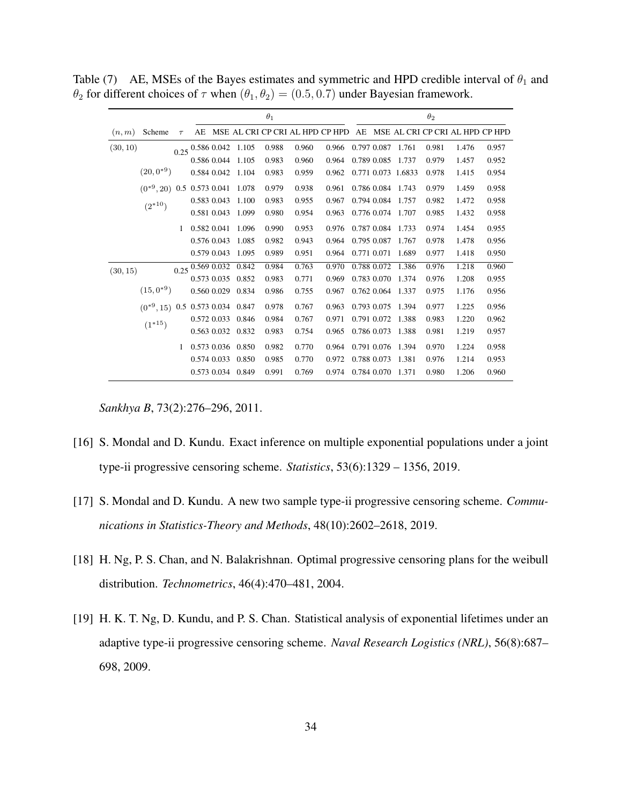|          |                                      |        |                           |                          | $\theta_1$ |                                    |       |    |             |                    | $\theta_2$ |                                 |       |
|----------|--------------------------------------|--------|---------------------------|--------------------------|------------|------------------------------------|-------|----|-------------|--------------------|------------|---------------------------------|-------|
| (n, m)   | Scheme                               | $\tau$ |                           |                          |            | AE MSE AL CRI CP CRI AL HPD CP HPD |       | AE |             |                    |            | MSE AL CRI CP CRI AL HPD CP HPD |       |
| (30, 10) |                                      |        |                           | $0.25$ 0.586 0.042 1.105 | 0.988      | 0.960                              | 0.966 |    | 0.797 0.087 | 1.761              | 0.981      | 1.476                           | 0.957 |
|          |                                      |        |                           | 0.586 0.044 1.105        | 0.983      | 0.960                              | 0.964 |    | 0.789 0.085 | 1.737              | 0.979      | 1.457                           | 0.952 |
|          | $(20,0^{*9})$                        |        |                           | 0.584 0.042 1.104        | 0.983      | 0.959                              | 0.962 |    |             | 0.771 0.073 1.6833 | 0.978      | 1.415                           | 0.954 |
|          | $(0^{*9}, 20)$ 0.5 0.573 0.041 1.078 |        |                           |                          | 0.979      | 0.938                              | 0.961 |    |             | 0.786 0.084 1.743  | 0.979      | 1.459                           | 0.958 |
|          | $(2^{*10})$                          |        | 0.583 0.043               | 1.100                    | 0.983      | 0.955                              | 0.967 |    |             | 0.794 0.084 1.757  | 0.982      | 1.472                           | 0.958 |
|          |                                      |        | 0.581 0.043               | 1.099                    | 0.980      | 0.954                              | 0.963 |    | 0.776 0.074 | 1.707              | 0.985      | 1.432                           | 0.958 |
|          |                                      |        | 0.582 0.041               | 1.096                    | 0.990      | 0.953                              | 0.976 |    | 0.787 0.084 | 1.733              | 0.974      | 1.454                           | 0.955 |
|          |                                      |        | 0.576 0.043               | 1.085                    | 0.982      | 0.943                              | 0.964 |    | 0.795 0.087 | 1.767              | 0.978      | 1.478                           | 0.956 |
|          |                                      |        | 0.579 0.043               | 1.095                    | 0.989      | 0.951                              | 0.964 |    | 0.771 0.071 | 1.689              | 0.977      | 1.418                           | 0.950 |
| (30, 15) |                                      |        | $0.25\sqrt{0.569\ 0.032}$ | 0.842                    | 0.984      | 0.763                              | 0.970 |    |             | 0.788 0.072 1.386  | 0.976      | 1.218                           | 0.960 |
|          |                                      |        |                           | 0.573 0.035 0.852        | 0.983      | 0.771                              | 0.969 |    | 0.783 0.070 | 1.374              | 0.976      | 1.208                           | 0.955 |
|          | $(15,0^{*9})$                        |        |                           | 0.560 0.029 0.834        | 0.986      | 0.755                              | 0.967 |    | 0.762 0.064 | 1.337              | 0.975      | 1.176                           | 0.956 |
|          | $(0^{*9}, 15)$ 0.5 0.573 0.034 0.847 |        |                           |                          | 0.978      | 0.767                              | 0.963 |    | 0.793 0.075 | 1.394              | 0.977      | 1.225                           | 0.956 |
|          | $(1^{*15})$                          |        |                           | 0.572 0.033 0.846        | 0.984      | 0.767                              | 0.971 |    | 0.791 0.072 | 1.388              | 0.983      | 1.220                           | 0.962 |
|          |                                      |        |                           | 0.563 0.032 0.832        | 0.983      | 0.754                              | 0.965 |    | 0.786 0.073 | 1.388              | 0.981      | 1.219                           | 0.957 |
|          |                                      |        |                           | 0.573 0.036 0.850        | 0.982      | 0.770                              | 0.964 |    | 0.791 0.076 | 1.394              | 0.970      | 1.224                           | 0.958 |
|          |                                      |        |                           | 0.574 0.033 0.850        | 0.985      | 0.770                              | 0.972 |    | 0.788 0.073 | 1.381              | 0.976      | 1.214                           | 0.953 |
|          |                                      |        |                           | 0.573 0.034 0.849        | 0.991      | 0.769                              | 0.974 |    | 0.784 0.070 | 1.371              | 0.980      | 1.206                           | 0.960 |

Table (7) AE, MSEs of the Bayes estimates and symmetric and HPD credible interval of  $\theta_1$  and  $\theta_2$  for different choices of  $\tau$  when  $(\theta_1, \theta_2) = (0.5, 0.7)$  under Bayesian framework.

*Sankhya B*, 73(2):276–296, 2011.

- [16] S. Mondal and D. Kundu. Exact inference on multiple exponential populations under a joint type-ii progressive censoring scheme. *Statistics*, 53(6):1329 – 1356, 2019.
- [17] S. Mondal and D. Kundu. A new two sample type-ii progressive censoring scheme. *Communications in Statistics-Theory and Methods*, 48(10):2602–2618, 2019.
- [18] H. Ng, P. S. Chan, and N. Balakrishnan. Optimal progressive censoring plans for the weibull distribution. *Technometrics*, 46(4):470–481, 2004.
- [19] H. K. T. Ng, D. Kundu, and P. S. Chan. Statistical analysis of exponential lifetimes under an adaptive type-ii progressive censoring scheme. *Naval Research Logistics (NRL)*, 56(8):687– 698, 2009.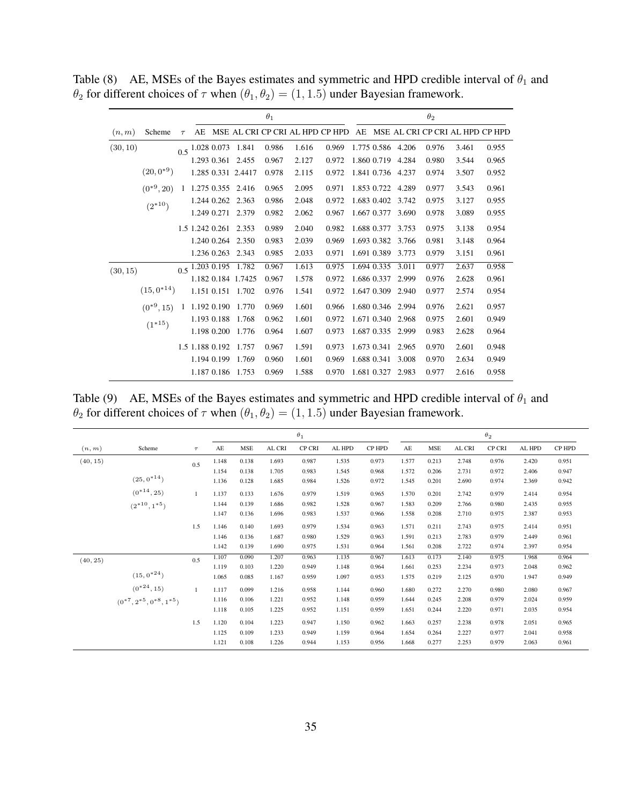|          |                            |        |    |                          |                    | $\theta_1$ |                                 |       |             |                   | $\theta_2$ |                                    |       |
|----------|----------------------------|--------|----|--------------------------|--------------------|------------|---------------------------------|-------|-------------|-------------------|------------|------------------------------------|-------|
| (n, m)   | Scheme                     | $\tau$ | AE |                          |                    |            | MSE AL CRI CP CRI AL HPD CP HPD |       |             |                   |            | AE MSE AL CRI CP CRI AL HPD CP HPD |       |
| (30, 10) |                            |        |    | $0.5$ 1.028 0.073        | 1.841              | 0.986      | 1.616                           | 0.969 |             | 1.775 0.586 4.206 | 0.976      | 3.461                              | 0.955 |
|          |                            |        |    | 1.293 0.361              | 2.455              | 0.967      | 2.127                           | 0.972 | 1.860 0.719 | 4.284             | 0.980      | 3.544                              | 0.965 |
|          | $(20,0^{*9})$              |        |    |                          | 1.285 0.331 2.4417 | 0.978      | 2.115                           | 0.972 |             | 1.841 0.736 4.237 | 0.974      | 3.507                              | 0.952 |
|          | $(0^{*9}, 20)$             | 1      |    |                          | 1.275 0.355 2.416  | 0.965      | 2.095                           | 0.971 | 1.853 0.722 | 4.289             | 0.977      | 3.543                              | 0.961 |
|          |                            |        |    |                          | 1.244 0.262 2.363  | 0.986      | 2.048                           | 0.972 | 1.683 0.402 | 3.742             | 0.975      | 3.127                              | 0.955 |
|          |                            |        |    | 1.249 0.271              | 2.379              | 0.982      | 2.062                           | 0.967 | 1.667 0.377 | 3.690             | 0.978      | 3.089                              | 0.955 |
|          |                            |        |    | 1.5 1.242 0.261          | 2.353              | 0.989      | 2.040                           | 0.982 | 1.688 0.377 | 3.753             | 0.975      | 3.138                              | 0.954 |
|          |                            |        |    |                          | 1.240 0.264 2.350  | 0.983      | 2.039                           | 0.969 | 1.693 0.382 | 3.766             | 0.981      | 3.148                              | 0.964 |
|          |                            |        |    |                          | 1.236 0.263 2.343  | 0.985      | 2.033                           | 0.971 | 1.691 0.389 | 3.773             | 0.979      | 3.151                              | 0.961 |
|          |                            |        |    |                          | 1.782              | 0.967      | 1.613                           | 0.975 | 1.694 0.335 | 3.011             | 0.977      | 2.637                              | 0.958 |
|          |                            |        |    |                          | 1.182 0.184 1.7425 | 0.967      | 1.578                           | 0.972 | 1.686 0.337 | 2.999             | 0.976      | 2.628                              | 0.961 |
|          | $(15,0^{*14})$             |        |    |                          | 1.151 0.151 1.702  | 0.976      | 1.541                           | 0.972 | 1.647 0.309 | 2.940             | 0.977      | 2.574                              | 0.954 |
|          | $(0^{*9}, 15)$             |        |    |                          | 1.192 0.190 1.770  | 0.969      | 1.601                           | 0.966 | 1.680 0.346 | 2.994             | 0.976      | 2.621                              | 0.957 |
|          |                            |        |    | 1.193 0.188              | 1.768              | 0.962      | 1.601                           | 0.972 | 1.671 0.340 | 2.968             | 0.975      | 2.601                              | 0.949 |
|          |                            |        |    |                          | 1.198 0.200 1.776  | 0.964      | 1.607                           | 0.973 | 1.687 0.335 | 2.999             | 0.983      | 2.628                              | 0.964 |
|          |                            |        |    | 1.5 1.188 0.192          | 1.757              | 0.967      | 1.591                           | 0.973 | 1.673 0.341 | 2.965             | 0.970      | 2.601                              | 0.948 |
|          |                            |        |    |                          | 1.194 0.199 1.769  | 0.960      | 1.601                           | 0.969 | 1.688 0.341 | 3.008             | 0.970      | 2.634                              | 0.949 |
|          |                            |        |    |                          | 1.187 0.186 1.753  | 0.969      | 1.588                           | 0.970 | 1.681 0.327 | 2.983             | 0.977      | 2.616                              | 0.958 |
| (30, 15) | $(2^{*10})$<br>$(1^{*15})$ |        |    | $0.5\sqrt{1.203\ 0.195}$ |                    |            |                                 |       |             |                   |            |                                    |       |

Table (8) AE, MSEs of the Bayes estimates and symmetric and HPD credible interval of  $\theta_1$  and  $\theta_2$  for different choices of  $\tau$  when  $(\theta_1, \theta_2) = (1, 1.5)$  under Bayesian framework.

Table (9) AE, MSEs of the Bayes estimates and symmetric and HPD credible interval of  $\theta_1$  and  $\theta_2$  for different choices of  $\tau$  when  $(\theta_1, \theta_2) = (1, 1.5)$  under Bayesian framework.

|          |                                                       |        |       |            |        | $\theta_1$ |        |        |       |            |        | $\theta_2$ |        |        |
|----------|-------------------------------------------------------|--------|-------|------------|--------|------------|--------|--------|-------|------------|--------|------------|--------|--------|
| (n, m)   | Scheme                                                | $\tau$ | AE    | <b>MSE</b> | AL CRI | CP CRI     | AL HPD | CP HPD | AE    | <b>MSE</b> | AL CRI | CP CRI     | AL HPD | CP HPD |
| (40, 15) |                                                       | 0.5    | 1.148 | 0.138      | 1.693  | 0.987      | 1.535  | 0.973  | 1.577 | 0.213      | 2.748  | 0.976      | 2.420  | 0.951  |
|          |                                                       |        | 1.154 | 0.138      | 1.705  | 0.983      | 1.545  | 0.968  | 1.572 | 0.206      | 2.731  | 0.972      | 2.406  | 0.947  |
|          | $(25,0^{*14})$                                        |        | 1.136 | 0.128      | 1.685  | 0.984      | 1.526  | 0.972  | 1.545 | 0.201      | 2.690  | 0.974      | 2.369  | 0.942  |
|          | $(0^{*14}, 25)$                                       |        | 1.137 | 0.133      | 1.676  | 0.979      | 1.519  | 0.965  | 1.570 | 0.201      | 2.742  | 0.979      | 2.414  | 0.954  |
|          | $(2^{*10}, 1^{*5})$                                   |        | 1.144 | 0.139      | 1.686  | 0.982      | 1.528  | 0.967  | 1.583 | 0.209      | 2.766  | 0.980      | 2.435  | 0.955  |
|          |                                                       |        | 1.147 | 0.136      | 1.696  | 0.983      | 1.537  | 0.966  | 1.558 | 0.208      | 2.710  | 0.975      | 2.387  | 0.953  |
|          |                                                       | 1.5    | 1.146 | 0.140      | 1.693  | 0.979      | 1.534  | 0.963  | 1.571 | 0.211      | 2.743  | 0.975      | 2.414  | 0.951  |
|          |                                                       |        | 1.146 | 0.136      | 1.687  | 0.980      | 1.529  | 0.963  | 1.591 | 0.213      | 2.783  | 0.979      | 2.449  | 0.961  |
|          |                                                       |        | 1.142 | 0.139      | 1.690  | 0.975      | 1.531  | 0.964  | 1.561 | 0.208      | 2.722  | 0.974      | 2.397  | 0.954  |
| (40, 25) |                                                       | 0.5    | 1.107 | 0.090      | 1.207  | 0.963      | 1.135  | 0.967  | 1.613 | 0.173      | 2.140  | 0.975      | 1.968  | 0.964  |
|          |                                                       |        | 1.119 | 0.103      | 1.220  | 0.949      | 1.148  | 0.964  | 1.661 | 0.253      | 2.234  | 0.973      | 2.048  | 0.962  |
|          | $(15,0^{*24})$                                        |        | 1.065 | 0.085      | 1.167  | 0.959      | 1.097  | 0.953  | 1.575 | 0.219      | 2.125  | 0.970      | 1.947  | 0.949  |
|          | $(0^{*24}, 15)$<br>$(0^{*7}, 2^{*5}, 0^{*8}, 1^{*5})$ |        | 1.117 | 0.099      | 1.216  | 0.958      | 1.144  | 0.960  | 1.680 | 0.272      | 2.270  | 0.980      | 2.080  | 0.967  |
|          |                                                       |        | 1.116 | 0.106      | 1.221  | 0.952      | 1.148  | 0.959  | 1.644 | 0.245      | 2.208  | 0.979      | 2.024  | 0.959  |
|          |                                                       |        | 1.118 | 0.105      | 1.225  | 0.952      | 1.151  | 0.959  | 1.651 | 0.244      | 2.220  | 0.971      | 2.035  | 0.954  |
|          |                                                       | 1.5    | 1.120 | 0.104      | 1.223  | 0.947      | 1.150  | 0.962  | 1.663 | 0.257      | 2.238  | 0.978      | 2.051  | 0.965  |
|          |                                                       |        | 1.125 | 0.109      | 1.233  | 0.949      | 1.159  | 0.964  | 1.654 | 0.264      | 2.227  | 0.977      | 2.041  | 0.958  |
|          |                                                       |        | 1.121 | 0.108      | 1.226  | 0.944      | 1.153  | 0.956  | 1.668 | 0.277      | 2.253  | 0.979      | 2.063  | 0.961  |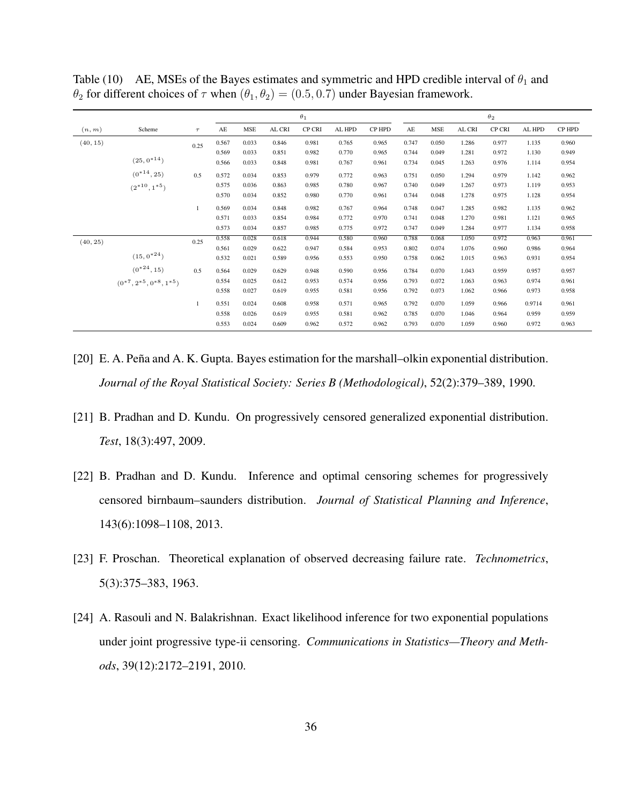|          |                                    |        |       |            |        | $\theta_1$ |        |        |       |       |        | $\theta_2$ |        |        |
|----------|------------------------------------|--------|-------|------------|--------|------------|--------|--------|-------|-------|--------|------------|--------|--------|
| (n, m)   | Scheme                             | $\tau$ | AE    | <b>MSE</b> | AL CRI | CP CRI     | AL HPD | CP HPD | AE    | MSE   | AL CRI | CP CRI     | AL HPD | CP HPD |
| (40, 15) |                                    | 0.25   | 0.567 | 0.033      | 0.846  | 0.981      | 0.765  | 0.965  | 0.747 | 0.050 | 1.286  | 0.977      | 1.135  | 0.960  |
|          |                                    |        | 0.569 | 0.033      | 0.851  | 0.982      | 0.770  | 0.965  | 0.744 | 0.049 | 1.281  | 0.972      | 1.130  | 0.949  |
|          | $(25,0^{*14})$                     |        | 0.566 | 0.033      | 0.848  | 0.981      | 0.767  | 0.961  | 0.734 | 0.045 | 1.263  | 0.976      | 1.114  | 0.954  |
|          | $(0^{*14}, 25)$                    | 0.5    | 0.572 | 0.034      | 0.853  | 0.979      | 0.772  | 0.963  | 0.751 | 0.050 | 1.294  | 0.979      | 1.142  | 0.962  |
|          | $(2^{*10}, 1^{*5})$                |        | 0.575 | 0.036      | 0.863  | 0.985      | 0.780  | 0.967  | 0.740 | 0.049 | 1.267  | 0.973      | 1.119  | 0.953  |
|          |                                    |        | 0.570 | 0.034      | 0.852  | 0.980      | 0.770  | 0.961  | 0.744 | 0.048 | 1.278  | 0.975      | 1.128  | 0.954  |
|          |                                    |        | 0.569 | 0.034      | 0.848  | 0.982      | 0.767  | 0.964  | 0.748 | 0.047 | 1.285  | 0.982      | 1.135  | 0.962  |
|          |                                    |        | 0.571 | 0.033      | 0.854  | 0.984      | 0.772  | 0.970  | 0.741 | 0.048 | 1.270  | 0.981      | 1.121  | 0.965  |
|          |                                    |        | 0.573 | 0.034      | 0.857  | 0.985      | 0.775  | 0.972  | 0.747 | 0.049 | 1.284  | 0.977      | 1.134  | 0.958  |
| (40, 25) |                                    | 0.25   | 0.558 | 0.028      | 0.618  | 0.944      | 0.580  | 0.960  | 0.788 | 0.068 | 1.050  | 0.972      | 0.963  | 0.961  |
|          |                                    |        | 0.561 | 0.029      | 0.622  | 0.947      | 0.584  | 0.953  | 0.802 | 0.074 | 1.076  | 0.960      | 0.986  | 0.964  |
|          | $(15,0^{*24})$                     |        | 0.532 | 0.021      | 0.589  | 0.956      | 0.553  | 0.950  | 0.758 | 0.062 | 1.015  | 0.963      | 0.931  | 0.954  |
|          | $(0^{*24}, 15)$                    | 0.5    | 0.564 | 0.029      | 0.629  | 0.948      | 0.590  | 0.956  | 0.784 | 0.070 | 1.043  | 0.959      | 0.957  | 0.957  |
|          | $(0^{*7}, 2^{*5}, 0^{*8}, 1^{*5})$ |        | 0.554 | 0.025      | 0.612  | 0.953      | 0.574  | 0.956  | 0.793 | 0.072 | 1.063  | 0.963      | 0.974  | 0.961  |
|          |                                    |        | 0.558 | 0.027      | 0.619  | 0.955      | 0.581  | 0.956  | 0.792 | 0.073 | 1.062  | 0.966      | 0.973  | 0.958  |
|          |                                    |        | 0.551 | 0.024      | 0.608  | 0.958      | 0.571  | 0.965  | 0.792 | 0.070 | 1.059  | 0.966      | 0.9714 | 0.961  |
|          |                                    |        | 0.558 | 0.026      | 0.619  | 0.955      | 0.581  | 0.962  | 0.785 | 0.070 | 1.046  | 0.964      | 0.959  | 0.959  |
|          |                                    |        | 0.553 | 0.024      | 0.609  | 0.962      | 0.572  | 0.962  | 0.793 | 0.070 | 1.059  | 0.960      | 0.972  | 0.963  |

Table (10) AE, MSEs of the Bayes estimates and symmetric and HPD credible interval of  $\theta_1$  and  $\theta_2$  for different choices of  $\tau$  when  $(\theta_1, \theta_2) = (0.5, 0.7)$  under Bayesian framework.

- [20] E. A. Peña and A. K. Gupta. Bayes estimation for the marshall–olkin exponential distribution. *Journal of the Royal Statistical Society: Series B (Methodological)*, 52(2):379–389, 1990.
- [21] B. Pradhan and D. Kundu. On progressively censored generalized exponential distribution. *Test*, 18(3):497, 2009.
- [22] B. Pradhan and D. Kundu. Inference and optimal censoring schemes for progressively censored birnbaum–saunders distribution. *Journal of Statistical Planning and Inference*, 143(6):1098–1108, 2013.
- [23] F. Proschan. Theoretical explanation of observed decreasing failure rate. *Technometrics*, 5(3):375–383, 1963.
- [24] A. Rasouli and N. Balakrishnan. Exact likelihood inference for two exponential populations under joint progressive type-ii censoring. *Communications in Statistics—Theory and Methods*, 39(12):2172–2191, 2010.